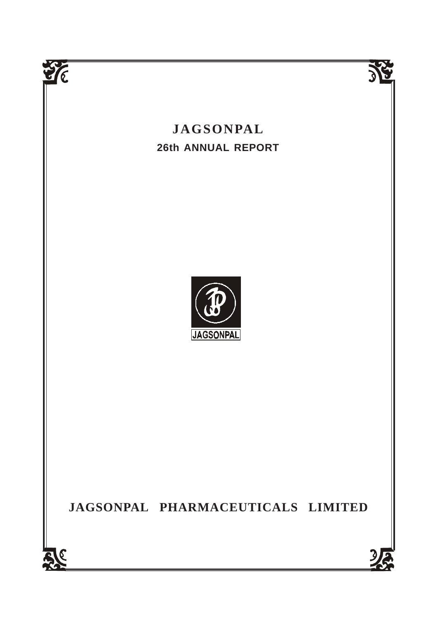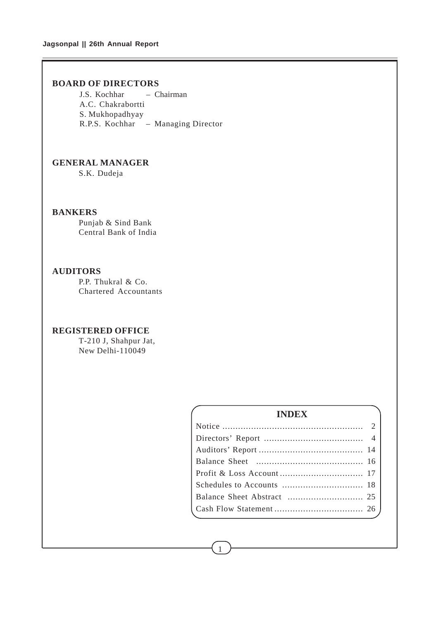# **BOARD OF DIRECTORS**

J.S. Kochhar – Chairman A.C. Chakrabortti S. Mukhopadhyay R.P.S. Kochhar – Managing Director

# **GENERAL MANAGER**

S.K. Dudeja

# **BANKERS**

Punjab & Sind Bank Central Bank of India

# **AUDITORS**

P.P. Thukral & Co. Chartered Accountants

# **REGISTERED OFFICE**

T-210 J, Shahpur Jat, New Delhi-110049

# **INDEX** Notice ...................................................... 2 Directors' Report ...................................... 4 Auditors' Report ........................................ 14 Balance Sheet ......................................... 16 Profit & Loss Account ................................ 17 Schedules to Accounts ............................... 18 Balance Sheet Abstract ............................. 25 Cash Flow Statement .................................. 26

1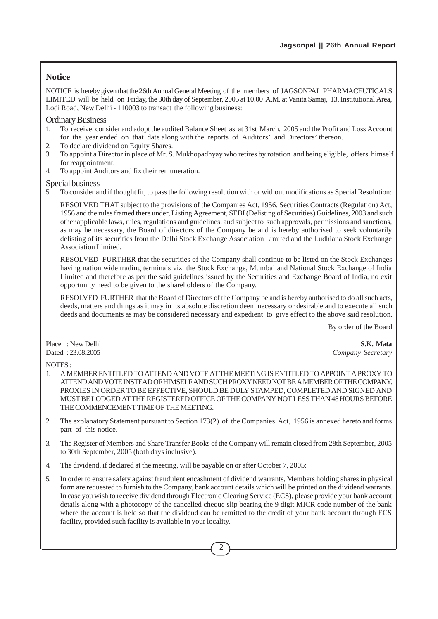# **Notice**

NOTICE is hereby given that the 26th Annual General Meeting of the members of JAGSONPAL PHARMACEUTICALS LIMITED will be held on Friday, the 30th day of September, 2005 at 10.00 A.M. at Vanita Samaj, 13, Institutional Area, Lodi Road, New Delhi - 110003 to transact the following business:

## Ordinary Business

- 1. To receive, consider and adopt the audited Balance Sheet as at 31st March, 2005 and the Profit and Loss Account for the year ended on that date along with the reports of Auditors' and Directors' thereon.
- 2. To declare dividend on Equity Shares.
- 3. To appoint a Director in place of Mr. S. Mukhopadhyay who retires by rotation and being eligible, offers himself for reappointment.
- 4. To appoint Auditors and fix their remuneration.

## Special business

5. To consider and if thought fit, to pass the following resolution with or without modifications as Special Resolution:

RESOLVED THAT subject to the provisions of the Companies Act, 1956, Securities Contracts (Regulation) Act, 1956 and the rules framed there under, Listing Agreement, SEBI (Delisting of Securities) Guidelines, 2003 and such other applicable laws, rules, regulations and guidelines, and subject to such approvals, permissions and sanctions, as may be necessary, the Board of directors of the Company be and is hereby authorised to seek voluntarily delisting of its securities from the Delhi Stock Exchange Association Limited and the Ludhiana Stock Exchange Association Limited.

RESOLVED FURTHER that the securities of the Company shall continue to be listed on the Stock Exchanges having nation wide trading terminals viz. the Stock Exchange, Mumbai and National Stock Exchange of India Limited and therefore as per the said guidelines issued by the Securities and Exchange Board of India, no exit opportunity need to be given to the shareholders of the Company.

RESOLVED FURTHER that the Board of Directors of the Company be and is hereby authorised to do all such acts, deeds, matters and things as it may in its absolute discretion deem necessary or desirable and to execute all such deeds and documents as may be considered necessary and expedient to give effect to the above said resolution.

By order of the Board

Place : New Delhi **S.K. Mata** Dated : 23.08.2005 *Company Secretary*

NOTES :

- 1. A MEMBER ENTITLED TO ATTEND AND VOTE AT THE MEETING IS ENTITLED TO APPOINT A PROXY TO ATTEND AND VOTE INSTEAD OF HIMSELF AND SUCH PROXY NEED NOT BE A MEMBER OF THE COMPANY. PROXIES IN ORDER TO BE EFFECTIVE, SHOULD BE DULY STAMPED, COMPLETED AND SIGNED AND MUST BE LODGED AT THE REGISTERED OFFICE OF THE COMPANY NOT LESS THAN 48 HOURS BEFORE THE COMMENCEMENT TIME OF THE MEETING.
- 2. The explanatory Statement pursuant to Section 173(2) of the Companies Act, 1956 is annexed hereto and forms part of this notice.
- 3. The Register of Members and Share Transfer Books of the Company will remain closed from 28th September, 2005 to 30th September, 2005 (both days inclusive).
- 4. The dividend, if declared at the meeting, will be payable on or after October 7, 2005:
- 5. In order to ensure safety against fraudulent encashment of dividend warrants, Members holding shares in physical form are requested to furnish to the Company, bank account details which will be printed on the dividend warrants. In case you wish to receive dividend through Electronic Clearing Service (ECS), please provide your bank account details along with a photocopy of the cancelled cheque slip bearing the 9 digit MICR code number of the bank where the account is held so that the dividend can be remitted to the credit of your bank account through ECS facility, provided such facility is available in your locality.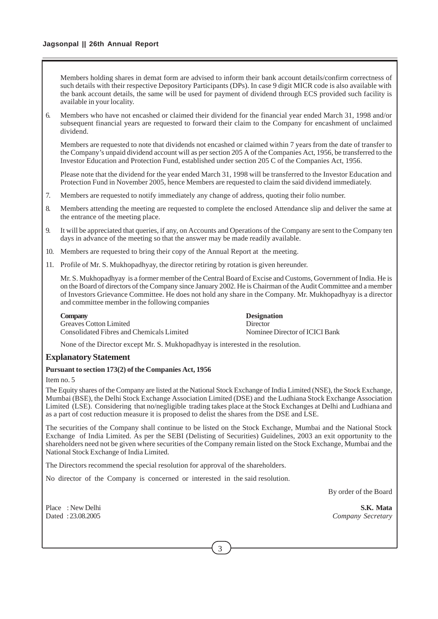# **Jagsonpal || 26th Annual Report**

Members holding shares in demat form are advised to inform their bank account details/confirm correctness of such details with their respective Depository Participants (DPs). In case 9 digit MICR code is also available with the bank account details, the same will be used for payment of dividend through ECS provided such facility is available in your locality.

6. Members who have not encashed or claimed their dividend for the financial year ended March 31, 1998 and/or subsequent financial years are requested to forward their claim to the Company for encashment of unclaimed dividend.

Members are requested to note that dividends not encashed or claimed within 7 years from the date of transfer to the Company's unpaid dividend account will as per section 205 A of the Companies Act, 1956, be transferred to the Investor Education and Protection Fund, established under section 205 C of the Companies Act, 1956.

Please note that the dividend for the year ended March 31, 1998 will be transferred to the Investor Education and Protection Fund in November 2005, hence Members are requested to claim the said dividend immediately.

- 7. Members are requested to notify immediately any change of address, quoting their folio number.
- 8. Members attending the meeting are requested to complete the enclosed Attendance slip and deliver the same at the entrance of the meeting place.
- 9. It will be appreciated that queries, if any, on Accounts and Operations of the Company are sent to the Company ten days in advance of the meeting so that the answer may be made readily available.
- 10. Members are requested to bring their copy of the Annual Report at the meeting.
- 11. Profile of Mr. S. Mukhopadhyay, the director retiring by rotation is given hereunder.

Mr. S. Mukhopadhyay is a former member of the Central Board of Excise and Customs, Government of India. He is on the Board of directors of the Company since January 2002. He is Chairman of the Audit Committee and a member of Investors Grievance Committee. He does not hold any share in the Company. Mr. Mukhopadhyay is a director and committee member in the following companies

| Company                                   | <b>Designation</b>             |
|-------------------------------------------|--------------------------------|
| <b>Greaves Cotton Limited</b>             | Director                       |
| Consolidated Fibres and Chemicals Limited | Nominee Director of ICICI Bank |

None of the Director except Mr. S. Mukhopadhyay is interested in the resolution.

# **Explanatory Statement**

#### **Pursuant to section 173(2) of the Companies Act, 1956**

Item no. 5

The Equity shares of the Company are listed at the National Stock Exchange of India Limited (NSE), the Stock Exchange, Mumbai (BSE), the Delhi Stock Exchange Association Limited (DSE) and the Ludhiana Stock Exchange Association Limited (LSE). Considering that no/negligible trading takes place at the Stock Exchanges at Delhi and Ludhiana and as a part of cost reduction measure it is proposed to delist the shares from the DSE and LSE.

The securities of the Company shall continue to be listed on the Stock Exchange, Mumbai and the National Stock Exchange of India Limited. As per the SEBI (Delisting of Securities) Guidelines, 2003 an exit opportunity to the shareholders need not be given where securities of the Company remain listed on the Stock Exchange, Mumbai and the National Stock Exchange of India Limited.

The Directors recommend the special resolution for approval of the shareholders.

No director of the Company is concerned or interested in the said resolution.

By order of the Board

Place : New Delhi **S.K. Mata** Dated : 23.08.2005 *Company Secretary*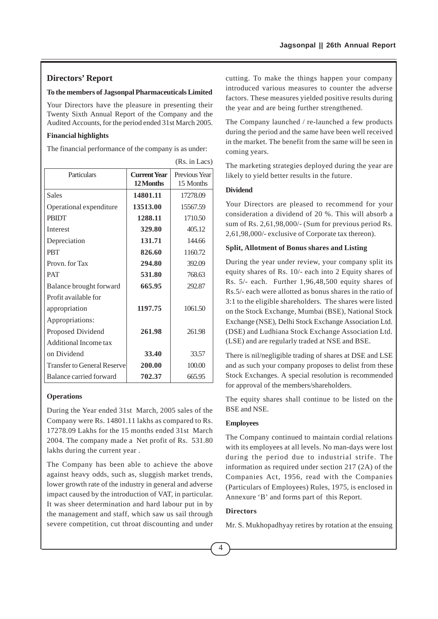# **Directors' Report**

## **To the members of Jagsonpal Pharmaceuticals Limited**

Your Directors have the pleasure in presenting their Twenty Sixth Annual Report of the Company and the Audited Accounts, for the period ended 31st March 2005.

## **Financial highlights**

The financial performance of the company is as under:

|                                    |                                  | (Rs. in Lacs)              |
|------------------------------------|----------------------------------|----------------------------|
| Particulars                        | <b>Current Year</b><br>12 Months | Previous Year<br>15 Months |
| <b>Sales</b>                       | 14801.11                         | 17278.09                   |
| Operational expenditure            | 13513.00                         | 15567.59                   |
| <b>PRIDT</b>                       | 1288.11                          | 1710.50                    |
| <b>Interest</b>                    | 329.80                           | 405.12                     |
| Depreciation                       | 131.71                           | 144.66                     |
| <b>PRT</b>                         | 826.60                           | 1160.72                    |
| Provn. for Tax                     | 294.80                           | 392.09                     |
| <b>PAT</b>                         | 531.80                           | 768.63                     |
| Balance brought forward            | 665.95                           | 292.87                     |
| Profit available for               |                                  |                            |
| appropriation                      | 1197.75                          | 1061.50                    |
| Appropriations:                    |                                  |                            |
| Proposed Dividend                  | 261.98                           | 261.98                     |
| <b>Additional Income tax</b>       |                                  |                            |
| on Dividend                        | 33.40                            | 33.57                      |
| <b>Transfer to General Reserve</b> | 200.00                           | 100.00                     |
| Balance carried forward            | 702.37                           | 665.95                     |

#### **Operations**

During the Year ended 31st March, 2005 sales of the Company were Rs. 14801.11 lakhs as compared to Rs. 17278.09 Lakhs for the 15 months ended 31st March 2004. The company made a Net profit of Rs. 531.80 lakhs during the current year .

The Company has been able to achieve the above against heavy odds, such as, sluggish market trends, lower growth rate of the industry in general and adverse impact caused by the introduction of VAT, in particular. It was sheer determination and hard labour put in by the management and staff, which saw us sail through severe competition, cut throat discounting and under cutting. To make the things happen your company introduced various measures to counter the adverse factors. These measures yielded positive results during the year and are being further strengthened.

The Company launched / re-launched a few products during the period and the same have been well received in the market. The benefit from the same will be seen in coming years.

The marketing strategies deployed during the year are likely to yield better results in the future.

# **Dividend**

Your Directors are pleased to recommend for your consideration a dividend of 20 %. This will absorb a sum of Rs. 2,61,98,000/- (Sum for previous period Rs. 2,61,98,000/- exclusive of Corporate tax thereon).

# **Split, Allotment of Bonus shares and Listing**

During the year under review, your company split its equity shares of Rs. 10/- each into 2 Equity shares of Rs. 5/- each. Further 1,96,48,500 equity shares of Rs.5/- each were allotted as bonus shares in the ratio of 3:1 to the eligible shareholders. The shares were listed on the Stock Exchange, Mumbai (BSE), National Stock Exchange (NSE), Delhi Stock Exchange Association Ltd. (DSE) and Ludhiana Stock Exchange Association Ltd. (LSE) and are regularly traded at NSE and BSE.

There is nil/negligible trading of shares at DSE and LSE and as such your company proposes to delist from these Stock Exchanges. A special resolution is recommended for approval of the members/shareholders.

The equity shares shall continue to be listed on the BSE and NSE.

#### **Employees**

The Company continued to maintain cordial relations with its employees at all levels. No man-days were lost during the period due to industrial strife. The information as required under section 217 (2A) of the Companies Act, 1956, read with the Companies (Particulars of Employees) Rules, 1975, is enclosed in Annexure 'B' and forms part of this Report.

## **Directors**

Mr. S. Mukhopadhyay retires by rotation at the ensuing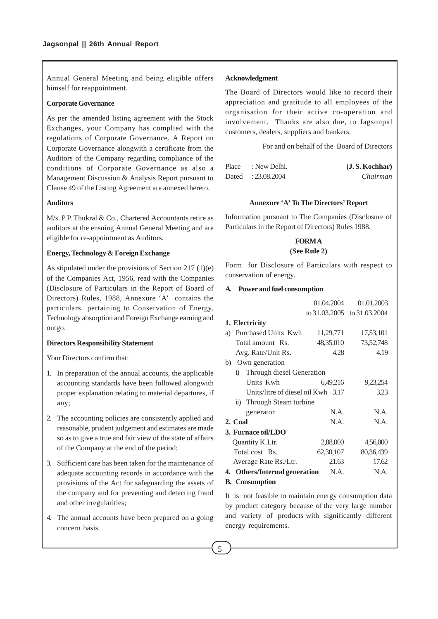Annual General Meeting and being eligible offers himself for reappointment.

#### **Corporate Governance**

As per the amended listing agreement with the Stock Exchanges, your Company has complied with the regulations of Corporate Governance. A Report on Corporate Governance alongwith a certificate from the Auditors of the Company regarding compliance of the conditions of Corporate Governance as also a Management Discussion & Analysis Report pursuant to Clause 49 of the Listing Agreement are annexed hereto.

## **Auditors**

M/s. P.P. Thukral & Co., Chartered Accountants retire as auditors at the ensuing Annual General Meeting and are eligible for re-appointment as Auditors.

## **Energy, Technology & Foreign Exchange**

As stipulated under the provisions of Section 217 (1)(e) of the Companies Act, 1956, read with the Companies (Disclosure of Particulars in the Report of Board of Directors) Rules, 1988, Annexure 'A' contains the particulars pertaining to Conservation of Energy, Technology absorption and Foreign Exchange earning and outgo.

## **Directors Responsibility Statement**

Your Directors confirm that:

- 1. In preparation of the annual accounts, the applicable accounting standards have been followed alongwith proper explanation relating to material departures, if any;
- 2. The accounting policies are consistently applied and reasonable, prudent judgement and estimates are made so as to give a true and fair view of the state of affairs of the Company at the end of the period;
- 3. Sufficient care has been taken for the maintenance of adequate accounting records in accordance with the provisions of the Act for safeguarding the assets of the company and for preventing and detecting fraud and other irregularities;
- 4. The annual accounts have been prepared on a going concern basis.

#### **Acknowledgment**

The Board of Directors would like to record their appreciation and gratitude to all employees of the organisation for their active co-operation and involvement. Thanks are also due, to Jagsonpal customers, dealers, suppliers and bankers.

For and on behalf of the Board of Directors

| Place | : New Delhi.      | (J.S. Kochhar) |
|-------|-------------------|----------------|
|       | Dated: 23.08.2004 | Chairman       |

#### **Annexure 'A' To The Directors' Report**

Information pursuant to The Companies (Disclosure of Particulars in the Report of Directors) Rules 1988.

## **FORM A**

#### **(See Rule 2)**

Form for Disclosure of Particulars with respect to conservation of energy.

# **A. Power and fuel consumption**

|                                      | 01.04.2004 | 01.01.2003                  |  |  |  |  |
|--------------------------------------|------------|-----------------------------|--|--|--|--|
|                                      |            | to 31.03.2005 to 31.03.2004 |  |  |  |  |
| 1. Electricity                       |            |                             |  |  |  |  |
| Purchased Units Kwh<br>a)            | 11,29,771  | 17,53,101                   |  |  |  |  |
| Total amount Rs.                     | 48,35,010  | 73,52,748                   |  |  |  |  |
| Avg. Rate/Unit Rs.                   | 4.28       | 4.19                        |  |  |  |  |
| b) Own generation                    |            |                             |  |  |  |  |
| i) Through diesel Generation         |            |                             |  |  |  |  |
| Units Kwh                            | 6,49,216   | 9,23,254                    |  |  |  |  |
| Units/litre of diesel oil $Kwh$ 3.17 |            | 3.23                        |  |  |  |  |
| ii) Through Steam turbine            |            |                             |  |  |  |  |
| generator                            | N.A.       | N.A.                        |  |  |  |  |
| 2. Coal                              | N.A.       | N.A.                        |  |  |  |  |
| 3. Furnace oil/LDO                   |            |                             |  |  |  |  |
| Quantity K.Ltr.                      | 2,88,000   | 4,56,000                    |  |  |  |  |
| Total cost Rs.                       | 62,30,107  | 80, 36, 439                 |  |  |  |  |
| Average Rate Rs./Ltr.                | 21.63      | 17.62                       |  |  |  |  |
| 4. Others/Internal generation        | N.A.       | N.A.                        |  |  |  |  |
| <b>B.</b> Consumption                |            |                             |  |  |  |  |

It is not feasible to maintain energy consumption data by product category because of the very large number and variety of products with significantly different energy requirements.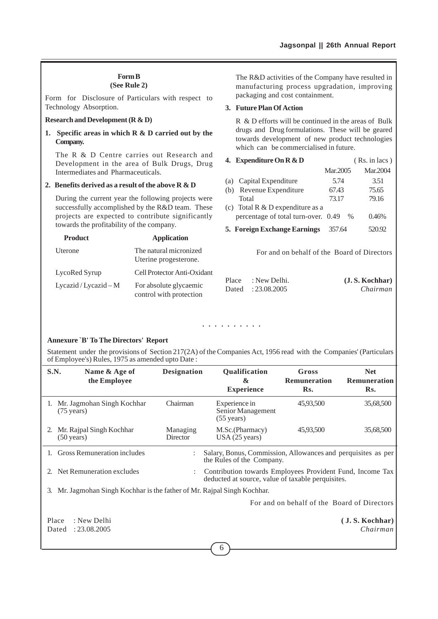# **Form B**

# **(See Rule 2)**

Form for Disclosure of Particulars with respect to Technology Absorption.

## **Research and Development (R & D)**

**1. Specific areas in which R & D carried out by the Company.**

The R & D Centre carries out Research and Development in the area of Bulk Drugs, Drug Intermediates and Pharmaceuticals.

### **2. Benefits derived as a result of the above R & D**

During the current year the following projects were successfully accomplished by the R&D team. These projects are expected to contribute significantly towards the profitability of the company.

| <b>Product</b>         | <b>Application</b>                                |
|------------------------|---------------------------------------------------|
| Uterone                | The natural micronized<br>Uterine progesterone.   |
| LycoRed Syrup          | Cell Protector Anti-Oxidant                       |
| Lycazid / Lycazid $-M$ | For absolute glycaemic<br>control with protection |

The R&D activities of the Company have resulted in manufacturing process upgradation, improving packaging and cost containment.

## **3. Future Plan Of Action**

R & D efforts will be continued in the areas of Bulk drugs and Drug formulations. These will be geared towards development of new product technologies which can be commercialised in future.

| 4. Expenditure On $R \& D$ |                                     |          | $(Rs. in lacs)$ |  |
|----------------------------|-------------------------------------|----------|-----------------|--|
|                            |                                     | Mar.2005 | Mar.2004        |  |
|                            | (a) Capital Expenditure             | 5.74     | 3.51            |  |
|                            | (b) Revenue Expenditure             | 67.43    | 75.65           |  |
|                            | Total                               | 73.17    | 79.16           |  |
|                            | (c) Total R $&$ D expenditure as a  |          |                 |  |
|                            | percentage of total turn-over. 0.49 | $\%$     | 0.46%           |  |

**5. Foreign Exchange Earnings** 357.64 520.92

For and on behalf of the Board of Directors

| Place | : New Delhi.      | (J.S. Kochhar) |
|-------|-------------------|----------------|
|       | Dated: 23.08.2005 | Chairman       |

#### aaaa aaaaaa

#### **Annexure `B' To The Directors' Report**

Statement under the provisions of Section 217(2A) of the Companies Act, 1956 read with the Companies' (Particulars of Employee's) Rules, 1975 as amended upto Date :

| S.N.                                        | Name & Age of<br>the Employee                                         | <b>Designation</b>   | Qualification<br>$\boldsymbol{\alpha}$<br><b>Experience</b>                                                    | Gross<br><b>Remuneration</b><br>Rs. | <b>Net</b><br><b>Remuneration</b><br>Rs. |
|---------------------------------------------|-----------------------------------------------------------------------|----------------------|----------------------------------------------------------------------------------------------------------------|-------------------------------------|------------------------------------------|
| 1.                                          | Mr. Jagmohan Singh Kochhar<br>$(75 \text{ years})$                    | Chairman             | Experience in<br>Senior Management<br>$(55 \text{ years})$                                                     | 45,93,500                           | 35,68,500                                |
| 2.                                          | Mr. Rajpal Singh Kochhar<br>$(50 \text{ years})$                      | Managing<br>Director | M.Sc.(Pharmacy)<br>USA (25 years)                                                                              | 45,93,500                           | 35,68,500                                |
|                                             | <b>Gross Remuneration includes</b>                                    |                      | Salary, Bonus, Commission, Allowances and perquisites as per<br>the Rules of the Company.                      |                                     |                                          |
|                                             | 2. Net Remuneration excludes                                          |                      | Contribution towards Employees Provident Fund, Income Tax<br>deducted at source, value of taxable perquisites. |                                     |                                          |
| 3.                                          | Mr. Jagmohan Singh Kochhar is the father of Mr. Rajpal Singh Kochhar. |                      |                                                                                                                |                                     |                                          |
| For and on behalf of the Board of Directors |                                                                       |                      |                                                                                                                |                                     |                                          |
|                                             | : New Delhi<br>Place                                                  |                      |                                                                                                                |                                     | (J. S. Kochhar)                          |

Dated : 23.08.2005 *Chairman*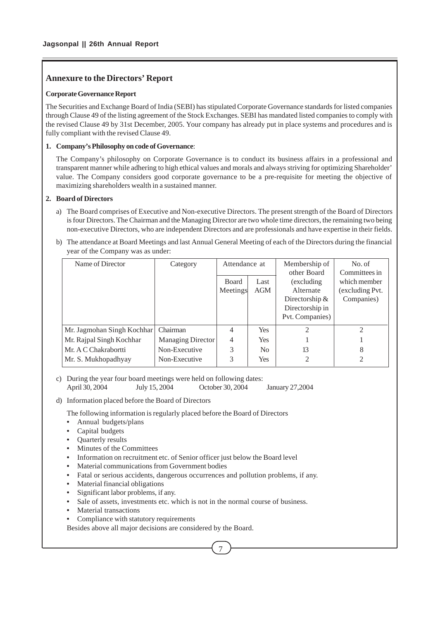# **Annexure to the Directors' Report**

# **Corporate Governance Report**

The Securities and Exchange Board of India (SEBI) has stipulated Corporate Governance standards for listed companies through Clause 49 of the listing agreement of the Stock Exchanges. SEBI has mandated listed companies to comply with the revised Clause 49 by 31st December, 2005. Your company has already put in place systems and procedures and is fully compliant with the revised Clause 49.

# **1. Company's Philosophy on code of Governance**:

The Company's philosophy on Corporate Governance is to conduct its business affairs in a professional and transparent manner while adhering to high ethical values and morals and always striving for optimizing Shareholder' value. The Company considers good corporate governance to be a pre-requisite for meeting the objective of maximizing shareholders wealth in a sustained manner.

# **2. Board of Directors**

- a) The Board comprises of Executive and Non-executive Directors. The present strength of the Board of Directors is four Directors. The Chairman and the Managing Director are two whole time directors, the remaining two being non-executive Directors, who are independent Directors and are professionals and have expertise in their fields.
- b) The attendance at Board Meetings and last Annual General Meeting of each of the Directors during the financial year of the Company was as under:

| Name of Director           | Category          | Attendance at  |                | Membership of    | No. of          |
|----------------------------|-------------------|----------------|----------------|------------------|-----------------|
|                            |                   |                |                | other Board      | Committees in   |
|                            |                   | <b>Board</b>   | Last           | (excluding)      | which member    |
|                            |                   | Meetings       | AGM            | Alternate        | (excluding Pvt. |
|                            |                   |                |                | Directorship $&$ | Companies)      |
|                            |                   |                |                | Directorship in  |                 |
|                            |                   |                |                | Pvt. Companies)  |                 |
| Mr. Jagmohan Singh Kochhar | Chairman          | $\overline{4}$ | <b>Yes</b>     | 2                | 2               |
| Mr. Rajpal Singh Kochhar   | Managing Director | 4              | <b>Yes</b>     |                  |                 |
| Mr. A C Chakrabortti       | Non-Executive     | 3              | N <sub>0</sub> | 13               | 8               |
| Mr. S. Mukhopadhyay        | Non-Executive     | 3              | <b>Yes</b>     | 2                | 2               |

c) During the year four board meetings were held on following dates: April 30, 2004 July 15, 2004 October 30, 2004 January 27,2004

d) Information placed before the Board of Directors

The following information is regularly placed before the Board of Directors

- **•** Annual budgets/plans
- **•** Capital budgets
- **•** Quarterly results
- **•** Minutes of the Committees
- **•** Information on recruitment etc. of Senior officer just below the Board level
- **•** Material communications from Government bodies
- **•** Fatal or serious accidents, dangerous occurrences and pollution problems, if any.
- **•** Material financial obligations
- **•** Significant labor problems, if any.
- Sale of assets, investments etc. which is not in the normal course of business.
- **•** Material transactions
- **•** Compliance with statutory requirements

Besides above all major decisions are considered by the Board.

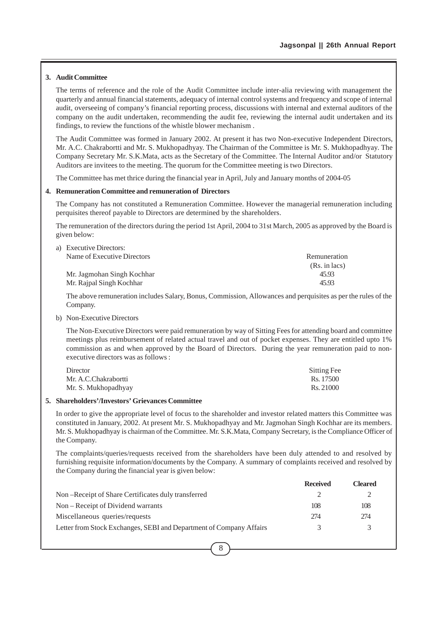# **3. Audit Committee**

The terms of reference and the role of the Audit Committee include inter-alia reviewing with management the quarterly and annual financial statements, adequacy of internal control systems and frequency and scope of internal audit, overseeing of company's financial reporting process, discussions with internal and external auditors of the company on the audit undertaken, recommending the audit fee, reviewing the internal audit undertaken and its findings, to review the functions of the whistle blower mechanism .

The Audit Committee was formed in January 2002. At present it has two Non-executive Independent Directors, Mr. A.C. Chakrabortti and Mr. S. Mukhopadhyay. The Chairman of the Committee is Mr. S. Mukhopadhyay. The Company Secretary Mr. S.K.Mata, acts as the Secretary of the Committee. The Internal Auditor and/or Statutory Auditors are invitees to the meeting. The quorum for the Committee meeting is two Directors.

The Committee has met thrice during the financial year in April, July and January months of 2004-05

#### **4. Remuneration Committee and remuneration of Directors**

The Company has not constituted a Remuneration Committee. However the managerial remuneration including perquisites thereof payable to Directors are determined by the shareholders.

The remuneration of the directors during the period 1st April, 2004 to 31st March, 2005 as approved by the Board is given below:

| a) Executive Directors:     |               |
|-----------------------------|---------------|
| Name of Executive Directors | Remuneration  |
|                             | (Rs. in lacs) |
| Mr. Jagmohan Singh Kochhar  | 45.93         |
| Mr. Rajpal Singh Kochhar    | 45.93         |

The above remuneration includes Salary, Bonus, Commission, Allowances and perquisites as per the rules of the Company.

b) Non-Executive Directors

The Non-Executive Directors were paid remuneration by way of Sitting Fees for attending board and committee meetings plus reimbursement of related actual travel and out of pocket expenses. They are entitled upto 1% commission as and when approved by the Board of Directors. During the year remuneration paid to nonexecutive directors was as follows :

| Director             | Sitting Fee |
|----------------------|-------------|
| Mr. A.C.Chakrabortti | Rs. 17500   |
| Mr. S. Mukhopadhyay  | Rs. 21000   |

## **5. Shareholders'/Investors' Grievances Committee**

In order to give the appropriate level of focus to the shareholder and investor related matters this Committee was constituted in January, 2002. At present Mr. S. Mukhopadhyay and Mr. Jagmohan Singh Kochhar are its members. Mr. S. Mukhopadhyay is chairman of the Committee. Mr. S.K.Mata, Company Secretary, is the Compliance Officer of the Company.

The complaints/queries/requests received from the shareholders have been duly attended to and resolved by furnishing requisite information/documents by the Company. A summary of complaints received and resolved by the Company during the financial year is given below:

|                                                                     | <b>Received</b> | Cleared |
|---------------------------------------------------------------------|-----------------|---------|
| Non-Receipt of Share Certificates duly transferred                  |                 |         |
| Non – Receipt of Dividend warrants                                  | 108             | 108     |
| Miscellaneous queries/requests                                      | 274             | 274     |
| Letter from Stock Exchanges, SEBI and Department of Company Affairs | 3               |         |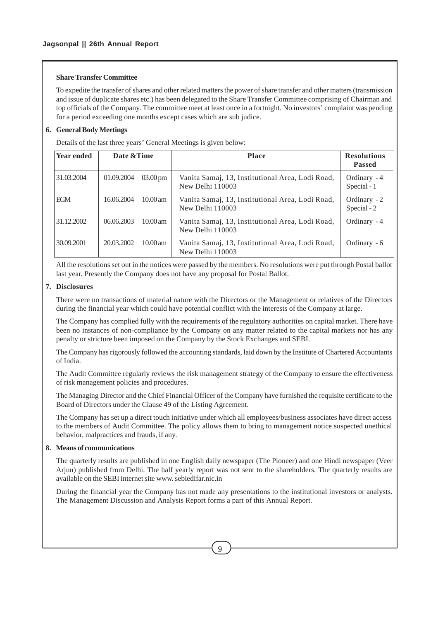## **Share Transfer Committee**

To expedite the transfer of shares and other related matters the power of share transfer and other matters (transmission and issue of duplicate shares etc.) has been delegated to the Share Transfer Committee comprising of Chairman and top officials of the Company. The committee meet at least once in a fortnight. No investors' complaint was pending for a period exceeding one months except cases which are sub judice.

# **6. General Body Meetings**

Details of the last three years' General Meetings is given below:

| <b>Year ended</b> | Date & Time |                       | <b>Place</b>                                                         | <b>Resolutions</b><br><b>Passed</b> |
|-------------------|-------------|-----------------------|----------------------------------------------------------------------|-------------------------------------|
| 31.03.2004        | 01.09.2004  | $03.00 \,\mathrm{pm}$ | Vanita Samaj, 13, Institutional Area, Lodi Road,<br>New Delhi 110003 | Ordinary - 4<br>Special - 1         |
| <b>EGM</b>        | 16.06.2004  | $10.00 \text{ am}$    | Vanita Samaj, 13, Institutional Area, Lodi Road,<br>New Delhi 110003 | Ordinary - 2<br>Special - 2         |
| 31.12.2002        | 06.06.2003  | $10.00$ am            | Vanita Samaj, 13, Institutional Area, Lodi Road,<br>New Delhi 110003 | Ordinary - 4                        |
| 30.09.2001        | 20.03.2002  | $10.00$ am            | Vanita Samaj, 13, Institutional Area, Lodi Road,<br>New Delhi 110003 | Ordinary - 6                        |

All the resolutions set out in the notices were passed by the members. No resolutions were put through Postal ballot last year. Presently the Company does not have any proposal for Postal Ballot.

## **7. Disclosures**

There were no transactions of material nature with the Directors or the Management or relatives of the Directors during the financial year which could have potential conflict with the interests of the Company at large.

The Company has complied fully with the requirements of the regulatory authorities on capital market. There have been no instances of non-compliance by the Company on any matter related to the capital markets nor has any penalty or stricture been imposed on the Company by the Stock Exchanges and SEBI.

The Company has rigorously followed the accounting standards, laid down by the Institute of Chartered Accountants of India.

The Audit Committee regularly reviews the risk management strategy of the Company to ensure the effectiveness of risk management policies and procedures.

The Managing Director and the Chief Financial Officer of the Company have furnished the requisite certificate to the Board of Directors under the Clause 49 of the Listing Agreement.

The Company has set up a direct touch initiative under which all employees/business associates have direct access to the members of Audit Committee. The policy allows them to bring to management notice suspected unethical behavior, malpractices and frauds, if any.

## **8. Means of communications**

The quarterly results are published in one English daily newspaper (The Pioneer) and one Hindi newspaper (Veer Arjun) published from Delhi. The half yearly report was not sent to the shareholders. The quarterly results are available on the SEBI internet site www. sebiedifar.nic.in

During the financial year the Company has not made any presentations to the institutional investors or analysts. The Management Discussion and Analysis Report forms a part of this Annual Report.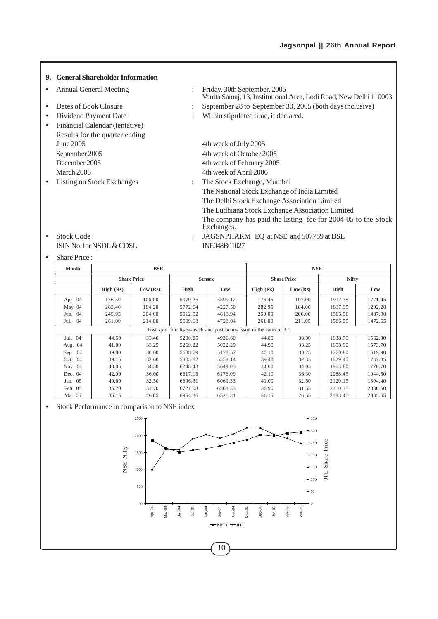Vanita Samaj, 13, Institutional Area, Lodi Road, New Delhi 110003

# **9. General Shareholder Information**

- **•** Annual General Meeting : Friday, 30th September, 2005
- Dates of Book Closure : September 28 to September 30, 2005 (both days inclusive)
- **••** Dividend Payment Date : Within stipulated time, if declared. **•** Financial Calendar (tentative) Results for the quarter ending
- 
- 
- June 2005 4th week of July 2005 September 2005 4th week of October 2005 December 2005 4th week of February 2005 March 2006 4th week of April 2006 **•** Listing on Stock Exchanges : The Stock Exchange, Mumbai The National Stock Exchange of India Limited The Delhi Stock Exchange Association Limited The Ludhiana Stock Exchange Association Limited The company has paid the listing fee for 2004-05 to the Stock Exchanges.
- ISIN No. for NSDL & CDSL INE048B01027
- Stock Code : JAGSNPHARM EQ at NSE and 507789 at BSE

# **•** Share Price :

| Month     | <b>BSE</b> |                    |                                                                      |               |           | <b>NSE</b>         |              |         |
|-----------|------------|--------------------|----------------------------------------------------------------------|---------------|-----------|--------------------|--------------|---------|
|           |            | <b>Share Price</b> |                                                                      | <b>Sensex</b> |           | <b>Share Price</b> | <b>Nifty</b> |         |
|           | High (Rs)  | Low (Rs)           | High                                                                 | Low           | High (Rs) | Low (Rs)           | <b>High</b>  | Low     |
| Apr. 04   | 176.50     | 106.00             | 5979.25                                                              | 5599.12       | 176.45    | 107.00             | 1912.35      | 1771.45 |
| May 04    | 283.40     | 184.20             | 5772.64                                                              | 4227.50       | 282.95    | 184.00             | 1837.95      | 1292.20 |
| Jun. 04   | 245.95     | 204.60             | 5012.52                                                              | 4613.94       | 250.00    | 206.00             | 1566.50      | 1437.90 |
| Jul. 04   | 261.00     | 214.00             | 5009.63                                                              | 4723.04       | 261.00    | 211.05             | 1586.55      | 1472.55 |
|           |            |                    | Post split into Rs.5/- each and post bonus issue in the ratio of 3:1 |               |           |                    |              |         |
| Jul. 04   | 44.50      | 33.40              | 5200.85                                                              | 4936.60       | 44.80     | 33.00              | 1638.70      | 1562.90 |
| Aug. 04   | 41.00      | 33.25              | 5269.22                                                              | 5022.29       | 44.90     | 33.25              | 1658.90      | 1573.70 |
| Sep. $04$ | 39.80      | 30.00              | 5638.79                                                              | 5178.57       | 40.10     | 30.25              | 1760.80      | 1619.90 |
| Oct. 04   | 39.15      | 32.60              | 5803.82                                                              | 5558.14       | 39.40     | 32.35              | 1829.45      | 1737.85 |
| Nov. 04   | 43.85      | 34.50              | 6248.43                                                              | 5649.03       | 44.00     | 34.05              | 1963.80      | 1776.70 |
| Dec. 04   | 42.00      | 36.00              | 6617.15                                                              | 6176.09       | 42.10     | 36.30              | 2088.45      | 1944.50 |
| Jan. 05   | 40.60      | 32.50              | 6696.31                                                              | 6069.33       | 41.00     | 32.50              | 2120.15      | 1894.40 |
| Feb. 05   | 36.20      | 31.70              | 6721.08                                                              | 6508.33       | 36.90     | 31.55              | 2110.15      | 2036.60 |
| Mar. 05   | 36.15      | 26.85              | 6954.86                                                              | 6321.31       | 36.15     | 26.55              | 2183.45      | 2035.65 |

#### **•** Stock Performance in comparison to NSE index

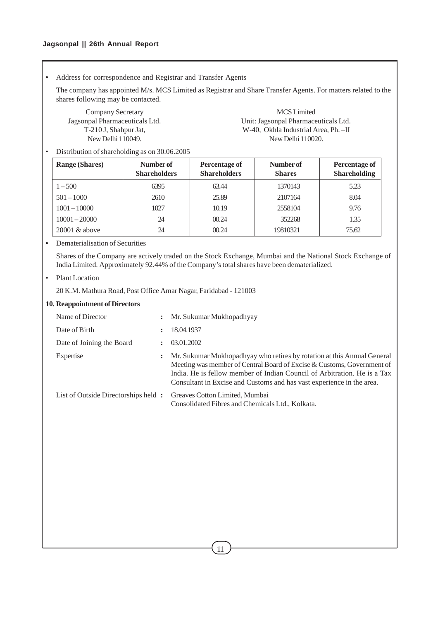**•** Address for correspondence and Registrar and Transfer Agents

The company has appointed M/s. MCS Limited as Registrar and Share Transfer Agents. For matters related to the shares following may be contacted.

Company Secretary MCS Limited Jagsonpal Pharmaceuticals Ltd. Unit: Jagsonpal Pharmaceuticals Ltd. T-210 J, Shahpur Jat, W-40, Okhla Industrial Area, Ph. –II New Delhi 110049. New Delhi 110020.

• Distribution of shareholding as on 30.06.2005

| <b>Range (Shares)</b> | Number of<br><b>Shareholders</b> | Percentage of<br><b>Shareholders</b> | Number of<br><b>Shares</b> | Percentage of<br><b>Shareholding</b> |
|-----------------------|----------------------------------|--------------------------------------|----------------------------|--------------------------------------|
| $1 - 500$             | 6395                             | 63.44                                | 1370143                    | 5.23                                 |
| $501 - 1000$          | 2610                             | 25.89                                | 2107164                    | 8.04                                 |
| $1001 - 10000$        | 1027                             | 10.19                                | 2558104                    | 9.76                                 |
| $10001 - 20000$       | 24                               | 00.24                                | 352268                     | 1.35                                 |
| $20001 \&$ above      | 24                               | 00.24                                | 19810321                   | 75.62                                |

**•** Dematerialisation of Securities

Shares of the Company are actively traded on the Stock Exchange, Mumbai and the National Stock Exchange of India Limited. Approximately 92.44% of the Company's total shares have been dematerialized.

• Plant Location

20 K.M. Mathura Road, Post Office Amar Nagar, Faridabad - 121003

## **10. Reappointment of Directors**

| Name of Director                     | $\ddot{\phantom{a}}$ | Mr. Sukumar Mukhopadhyay                                                                                                                                                                                                                                                                               |
|--------------------------------------|----------------------|--------------------------------------------------------------------------------------------------------------------------------------------------------------------------------------------------------------------------------------------------------------------------------------------------------|
| Date of Birth                        |                      | 18.04.1937                                                                                                                                                                                                                                                                                             |
| Date of Joining the Board            |                      | 03.01.2002                                                                                                                                                                                                                                                                                             |
| Expertise                            |                      | Mr. Sukumar Mukhopadhyay who retires by rotation at this Annual General<br>Meeting was member of Central Board of Excise & Customs, Government of<br>India. He is fellow member of Indian Council of Arbitration. He is a Tax<br>Consultant in Excise and Customs and has vast experience in the area. |
| List of Outside Directorships held : |                      | Greaves Cotton Limited, Mumbai<br>Consolidated Fibres and Chemicals Ltd., Kolkata.                                                                                                                                                                                                                     |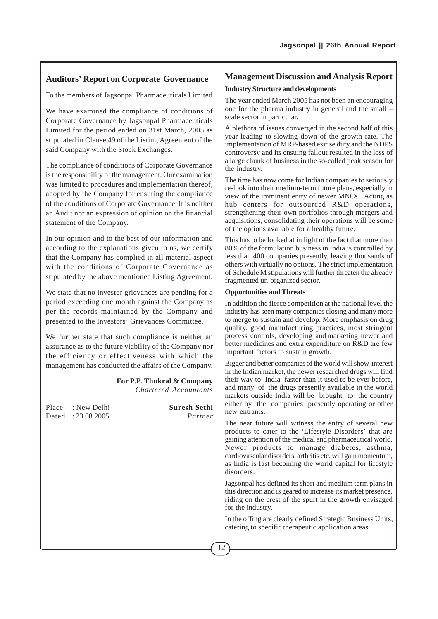# **Auditors' Report on Corporate Governance**

To the members of Jagsonpal Pharmaceuticals Limited

We have examined the compliance of conditions of Corporate Governance by Jagsonpal Pharmaceuticals Limited for the period ended on 31st March, 2005 as stipulated in Clause 49 of the Listing Agreement of the said Company with the Stock Exchanges.

The compliance of conditions of Corporate Governance is the responsibility of the management. Our examination was limited to procedures and implementation thereof, adopted by the Company for ensuring the compliance of the conditions of Corporate Governance. It is neither an Audit nor an expression of opinion on the financial statement of the Company.

In our opinion and to the best of our information and according to the explanations given to us, we certify that the Company has complied in all material aspect with the conditions of Corporate Governance as stipulated by the above mentioned Listing Agreement.

We state that no investor grievances are pending for a period exceeding one month against the Company as per the records maintained by the Company and presented to the Investors' Grievances Committee.

We further state that such compliance is neither an assurance as to the future viability of the Company nor the efficiency or effectiveness with which the management has conducted the affairs of the Company.

## **For P.P. Thukral & Company** *Chartered Accountants*

Place : New Delhi **Suresh Sethi** Dated : 23.08.2005 *Partner*

# **Management Discussion and Analysis Report**

# **Industry Structure and developments**

The year ended March 2005 has not been an encouraging one for the pharma industry in general and the small – scale sector in particular.

A plethora of issues converged in the second half of this year leading to slowing down of the growth rate. The implementation of MRP-based excise duty and the NDPS controversy and its ensuing fallout resulted in the loss of a large chunk of business in the so-called peak season for the industry.

The time has now come for Indian companies to seriously re-look into their medium-term future plans, especially in view of the imminent entry of newer MNCs. Acting as hub centers for outsourced R&D operations, strengthening their own portfolios through mergers and acquisitions, consolidating their operations will be some of the options available for a healthy future.

This has to be looked at in light of the fact that more than 80% of the formulation business in India is controlled by less than 400 companies presently, leaving thousands of others with virtually no options. The strict implementation of Schedule M stipulations will further threaten the already fragmented un-organized sector.

#### **Opportunities and Threats**

In addition the fierce competition at the national level the industry has seen many companies closing and many more to merge to sustain and develop. More emphasis on drug quality, good manufacturing practices, most stringent process controls, developing and marketing newer and better medicines and extra expenditure on R&D are few important factors to sustain growth.

Bigger and better companies of the world will show interest in the Indian market, the newer researched drugs will find their way to India faster than it used to be ever before, and many of the drugs presently available in the world markets outside India will be brought to the country either by the companies presently operating or other new entrants.

The near future will witness the entry of several new products to cater to the 'Lifestyle Disorders' that are gaining attention of the medical and pharmaceutical world. Newer products to manage diabetes, asthma, cardiovascular disorders, arthritis etc. will gain momentum, as India is fast becoming the world capital for lifestyle disorders.

Jagsonpal has defined its short and medium term plans in this direction and is geared to increase its market presence, riding on the crest of the spurt in the growth envisaged for the industry.

In the offing are clearly defined Strategic Business Units, catering to specific therapeutic application areas.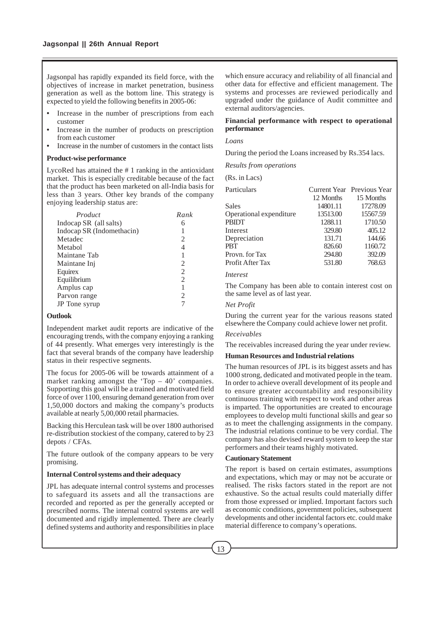Jagsonpal has rapidly expanded its field force, with the objectives of increase in market penetration, business generation as well as the bottom line. This strategy is expected to yield the following benefits in 2005-06:

- **•** Increase in the number of prescriptions from each customer
- **•** Increase in the number of products on prescription from each customer
- **•** Increase in the number of customers in the contact lists

#### **Product-wise performance**

LycoRed has attained the # 1 ranking in the antioxidant market. This is especially creditable because of the fact that the product has been marketed on all-India basis for less than 3 years. Other key brands of the company enjoying leadership status are:

| Product                   | Rank |
|---------------------------|------|
| Indocap SR (all salts)    |      |
| Indocap SR (Indomethacin) | 1    |
| Metadec                   | 2    |
| Metabol                   | 4    |
| Maintane Tab              |      |
| Maintane Inj              | 2    |
| Equirex                   | 2    |
| Equilibrium               | 2    |
| Amplus cap                | 1    |
| Parvon range              | 2    |
| JP Tone syrup             |      |

#### **Outlook**

Independent market audit reports are indicative of the encouraging trends, with the company enjoying a ranking of 44 presently. What emerges very interestingly is the fact that several brands of the company have leadership status in their respective segments.

The focus for 2005-06 will be towards attainment of a market ranking amongst the 'Top – 40' companies. Supporting this goal will be a trained and motivated field force of over 1100, ensuring demand generation from over 1,50,000 doctors and making the company's products available at nearly 5,00,000 retail pharmacies.

Backing this Herculean task will be over 1800 authorised re-distribution stockiest of the company, catered to by 23 depots / CFAs.

The future outlook of the company appears to be very promising.

#### **Internal Control systems and their adequacy**

JPL has adequate internal control systems and processes to safeguard its assets and all the transactions are recorded and reported as per the generally accepted or prescribed norms. The internal control systems are well documented and rigidly implemented. There are clearly defined systems and authority and responsibilities in place which ensure accuracy and reliability of all financial and other data for effective and efficient management. The systems and processes are reviewed periodically and upgraded under the guidance of Audit committee and external auditors/agencies.

## **Financial performance with respect to operational performance**

*Loans*

During the period the Loans increased by Rs.354 lacs.

*Results from operations*

(Rs. in Lacs)

| Particulars             |           | Current Year Previous Year |
|-------------------------|-----------|----------------------------|
|                         | 12 Months | 15 Months                  |
| Sales                   | 14801.11  | 17278.09                   |
| Operational expenditure | 13513.00  | 15567.59                   |
| <b>PBIDT</b>            | 1288.11   | 1710.50                    |
| Interest                | 329.80    | 405.12                     |
| Depreciation            | 131.71    | 144.66                     |
| <b>PBT</b>              | 826.60    | 1160.72                    |
| Provn. for Tax          | 294.80    | 392.09                     |
| Profit After Tax        | 531.80    | 768.63                     |
|                         |           |                            |

#### *Interest*

The Company has been able to contain interest cost on the same level as of last year.

### *Net Profit*

During the current year for the various reasons stated elsewhere the Company could achieve lower net profit.

#### *Receivables*

The receivables increased during the year under review.

## **Human Resources and Industrial relations**

The human resources of JPL is its biggest assets and has 1000 strong, dedicated and motivated people in the team. In order to achieve overall development of its people and to ensure greater accountability and responsibility continuous training with respect to work and other areas is imparted. The opportunities are created to encourage employees to develop multi functional skills and gear so as to meet the challenging assignments in the company. The industrial relations continue to be very cordial. The company has also devised reward system to keep the star performers and their teams highly motivated.

## **Cautionary Statement**

The report is based on certain estimates, assumptions and expectations, which may or may not be accurate or realised. The risks factors stated in the report are not exhaustive. So the actual results could materially differ from those expressed or implied. Important factors such as economic conditions, government policies, subsequent developments and other incidental factors etc. could make material difference to company's operations.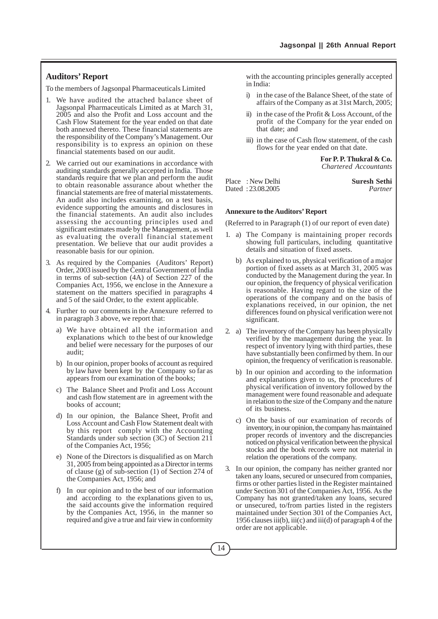# **Auditors' Report**

To the members of Jagsonpal Pharmaceuticals Limited

- 1. We have audited the attached balance sheet of Jagsonpal Pharmaceuticals Limited as at March 31, 2005 and also the Profit and Loss account and the Cash Flow Statement for the year ended on that date both annexed thereto. These financial statements are the responsibility of the Company's Management. Our responsibility is to express an opinion on these financial statements based on our audit.
- 2. We carried out our examinations in accordance with auditing standards generally accepted in India. Those standards require that we plan and perform the audit to obtain reasonable assurance about whether the financial statements are free of material misstatements. An audit also includes examining, on a test basis, evidence supporting the amounts and disclosures in the financial statements. An audit also includes assessing the accounting principles used and significant estimates made by the Management, as well as evaluating the overall financial statement presentation. We believe that our audit provides a reasonable basis for our opinion.
- 3. As required by the Companies (Auditors' Report) Order, 2003 issued by the Central Government of India in terms of sub-section (4A) of Section 227 of the Companies Act, 1956, we enclose in the Annexure a statement on the matters specified in paragraphs 4 and 5 of the said Order, to the extent applicable.
- 4. Further to our comments in the Annexure referred to in paragraph 3 above, we report that:
	- a) We have obtained all the information and explanations which to the best of our knowledge and belief were necessary for the purposes of our audit;
	- b) In our opinion, proper books of account as required by law have been kept by the Company so far as appears from our examination of the books;
	- c) The Balance Sheet and Profit and Loss Account and cash flow statement are in agreement with the books of account;
	- d) In our opinion, the Balance Sheet, Profit and Loss Account and Cash Flow Statement dealt with by this report comply with the Accounting Standards under sub section (3C) of Section 211 of the Companies Act, 1956;
	- e) None of the Directors is disqualified as on March 31, 2005 from being appointed as a Director in terms of clause (g) of sub-section (1) of Section 274 of the Companies Act, 1956; and
	- f) In our opinion and to the best of our information and according to the explanations given to us, the said accounts give the information required by the Companies Act, 1956, in the manner so required and give a true and fair view in conformity

with the accounting principles generally accepted in India:

- i) in the case of the Balance Sheet, of the state of affairs of the Company as at 31st March, 2005;
- ii) in the case of the Profit & Loss Account, of the profit of the Company for the year ended on that date; and
- iii) in the case of Cash flow statement, of the cash flows for the year ended on that date.

**For P. P. Thukral & Co.** *Chartered Accountants*

Place : New Delhi **Suresh Sethi** Dated : 23.08.2005 *Partner*

#### **Annexure to the Auditors' Report**

(Referred to in Paragraph (1) of our report of even date)

- 1. a) The Company is maintaining proper records showing full particulars, including quantitative details and situation of fixed assets.
	- b) As explained to us, physical verification of a major portion of fixed assets as at March 31, 2005 was conducted by the Management during the year. In our opinion, the frequency of physical verification is reasonable. Having regard to the size of the operations of the company and on the basis of explanations received, in our opinion, the net differences found on physical verification were not significant.
- 2. a) The inventory of the Company has been physically verified by the management during the year. In respect of inventory lying with third parties, these have substantially been confirmed by them. In our opinion, the frequency of verification is reasonable.
	- b) In our opinion and according to the information and explanations given to us, the procedures of physical verification of inventory followed by the management were found reasonable and adequate in relation to the size of the Company and the nature of its business.
	- c) On the basis of our examination of records of inventory, in our opinion, the company has maintained proper records of inventory and the discrepancies noticed on physical verification between the physical stocks and the book records were not material in relation the operations of the company.
- 3. In our opinion, the company has neither granted nor taken any loans, secured or unsecured from companies, firms or other parties listed in the Register maintained under Section 301 of the Companies Act, 1956. As the Company has not granted/taken any loans, secured or unsecured, to/from parties listed in the registers maintained under Section 301 of the Companies Act, 1956 clauses iii(b), iii(c) and iii(d) of paragraph 4 of the order are not applicable.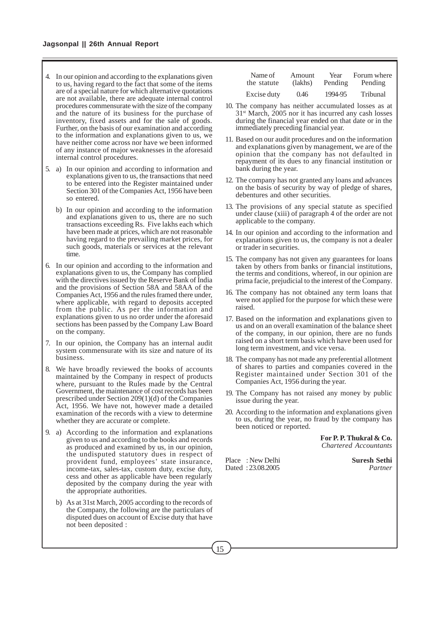- 4. In our opinion and according to the explanations given to us, having regard to the fact that some of the items are of a special nature for which alternative quotations are not available, there are adequate internal control procedures commensurate with the size of the company and the nature of its business for the purchase of inventory, fixed assets and for the sale of goods. Further, on the basis of our examination and according to the information and explanations given to us, we have neither come across nor have we been informed of any instance of major weaknesses in the aforesaid internal control procedures.
- 5. a) In our opinion and according to information and explanations given to us, the transactions that need to be entered into the Register maintained under Section 301 of the Companies Act, 1956 have been so entered.
	- b) In our opinion and according to the information and explanations given to us, there are no such transactions exceeding Rs. Five lakhs each which have been made at prices, which are not reasonable having regard to the prevailing market prices, for such goods, materials or services at the relevant time.
- 6. In our opinion and according to the information and explanations given to us, the Company has complied with the directives issued by the Reserve Bank of India and the provisions of Section 58A and 58AA of the Companies Act, 1956 and the rules framed there under, where applicable, with regard to deposits accepted from the public. As per the information and explanations given to us no order under the aforesaid sections has been passed by the Company Law Board on the company.
- 7. In our opinion, the Company has an internal audit system commensurate with its size and nature of its business.
- 8. We have broadly reviewed the books of accounts maintained by the Company in respect of products where, pursuant to the Rules made by the Central Government, the maintenance of cost records has been prescribed under Section 209(1)(d) of the Companies Act, 1956. We have not, however made a detailed examination of the records with a view to determine whether they are accurate or complete.
- 9. a) According to the information and explanations given to us and according to the books and records as produced and examined by us, in our opinion, the undisputed statutory dues in respect of provident fund, employees' state insurance, income-tax, sales-tax, custom duty, excise duty, cess and other as applicable have been regularly deposited by the company during the year with the appropriate authorities.
	- b) As at 31st March, 2005 according to the records of the Company, the following are the particulars of disputed dues on account of Excise duty that have not been deposited :

| Name of     | Amount  | Year    | Forum where |
|-------------|---------|---------|-------------|
| the statute | (lakhs) | Pending | Pending     |
| Excise duty | 0.46    | 1994-95 | Tribunal    |

- 10. The company has neither accumulated losses as at  $31<sup>st</sup>$  March, 2005 nor it has incurred any cash losses during the financial year ended on that date or in the immediately preceding financial year.
- 11. Based on our audit procedures and on the information and explanations given by management, we are of the opinion that the company has not defaulted in repayment of its dues to any financial institution or bank during the year.
- 12. The company has not granted any loans and advances on the basis of security by way of pledge of shares, debentures and other securities.
- 13. The provisions of any special statute as specified under clause (xiii) of paragraph 4 of the order are not applicable to the company.
- 14. In our opinion and according to the information and explanations given to us, the company is not a dealer or trader in securities.
- 15. The company has not given any guarantees for loans taken by others from banks or financial institutions, the terms and conditions, whereof, in our opinion are prima facie, prejudicial to the interest of the Company.
- 16. The company has not obtained any term loans that were not applied for the purpose for which these were raised.
- 17. Based on the information and explanations given to us and on an overall examination of the balance sheet of the company, in our opinion, there are no funds raised on a short term basis which have been used for long term investment, and vice versa.
- 18. The company has not made any preferential allotment of shares to parties and companies covered in the Register maintained under Section 301 of the Companies Act, 1956 during the year.
- 19. The Company has not raised any money by public issue during the year.
- 20. According to the information and explanations given to us, during the year, no fraud by the company has been noticed or reported.

**For P. P. Thukral & Co.** *Chartered Accountants*

Place : New Delhi **Suresh Sethi** Dated : 23.08.2005 *Partner*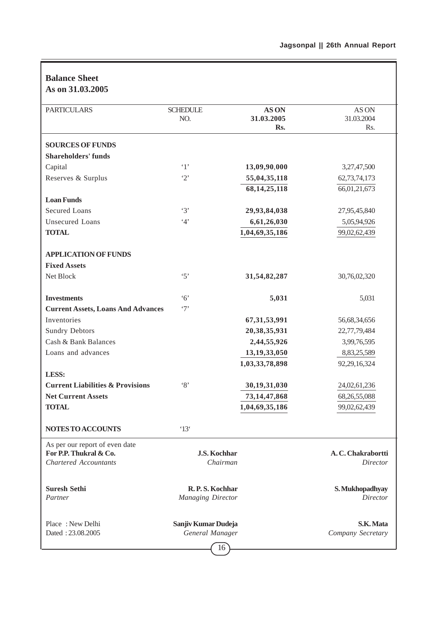| <b>Balance Sheet</b><br>As on 31.03.2005    |                                              |                                  |                                |
|---------------------------------------------|----------------------------------------------|----------------------------------|--------------------------------|
| <b>PARTICULARS</b>                          | <b>SCHEDULE</b><br>NO.                       | <b>ASON</b><br>31.03.2005<br>Rs. | AS ON<br>31.03.2004<br>Rs.     |
| <b>SOURCES OF FUNDS</b>                     |                                              |                                  |                                |
| <b>Shareholders' funds</b>                  |                                              |                                  |                                |
| Capital                                     | $\cdot_1$                                    | 13,09,90,000                     | 3,27,47,500                    |
| Reserves & Surplus                          | $\cdot_2$                                    | 55,04,35,118                     | 62,73,74,173                   |
|                                             |                                              | 68, 14, 25, 118                  | 66,01,21,673                   |
| <b>Loan Funds</b>                           |                                              |                                  |                                |
| <b>Secured Loans</b>                        | $\cdot$ 3'                                   | 29,93,84,038                     | 27,95,45,840                   |
| <b>Unsecured Loans</b>                      | 4'                                           | 6,61,26,030                      | 5,05,94,926                    |
| <b>TOTAL</b>                                |                                              | 1,04,69,35,186                   | 99,02,62,439                   |
|                                             |                                              |                                  |                                |
| <b>APPLICATION OF FUNDS</b>                 |                                              |                                  |                                |
| <b>Fixed Assets</b>                         |                                              |                                  |                                |
| Net Block                                   | $\cdot$ 5'                                   | 31,54,82,287                     | 30,76,02,320                   |
|                                             |                                              |                                  |                                |
| <b>Investments</b>                          | $\cdot 6$                                    | 5,031                            | 5,031                          |
| <b>Current Assets, Loans And Advances</b>   | $\cdot$ 7'                                   |                                  |                                |
| Inventories                                 |                                              | 67, 31, 53, 991                  | 56,68,34,656                   |
| <b>Sundry Debtors</b>                       |                                              | 20, 38, 35, 931                  | 22,77,79,484                   |
| Cash & Bank Balances                        |                                              | 2,44,55,926                      | 3,99,76,595                    |
| Loans and advances                          |                                              | 13,19,33,050                     | 8,83,25,589                    |
|                                             |                                              | 1,03,33,78,898                   | 92,29,16,324                   |
| <b>LESS:</b>                                |                                              |                                  |                                |
| <b>Current Liabilities &amp; Provisions</b> | $\cdot_8$                                    | 30,19,31,030                     | 24,02,61,236                   |
| <b>Net Current Assets</b>                   |                                              | 73, 14, 47, 868                  | 68, 26, 55, 088                |
| <b>TOTAL</b>                                |                                              | 1,04,69,35,186                   | 99,02,62,439                   |
|                                             |                                              |                                  |                                |
| NOTES TO ACCOUNTS                           | $^{\circ}13^{\circ}$                         |                                  |                                |
| As per our report of even date              |                                              |                                  |                                |
| For P.P. Thukral & Co.                      | <b>J.S. Kochhar</b>                          |                                  | A. C. Chakrabortti             |
| <b>Chartered Accountants</b>                | Chairman                                     |                                  | Director                       |
| <b>Suresh Sethi</b><br>Partner              | R.P.S. Kochhar<br><b>Managing Director</b>   |                                  | S. Mukhopadhyay<br>Director    |
| Place: New Delhi<br>Dated: 23.08.2005       | Sanjiv Kumar Dudeja<br>General Manager<br>16 |                                  | S.K. Mata<br>Company Secretary |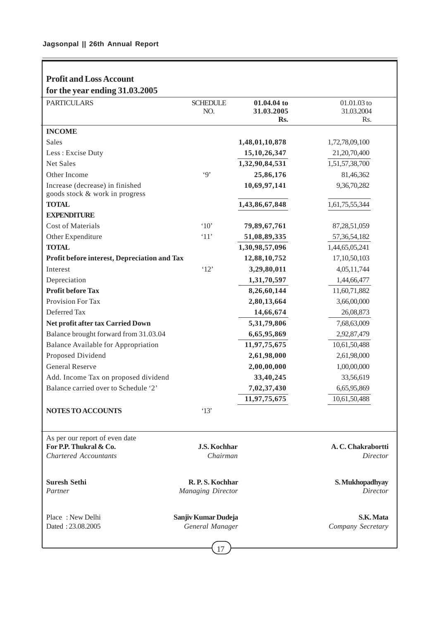$\overline{\phantom{a}}$ 

| <b>Profit and Loss Account</b>                                    |                                        |                                  |                                      |
|-------------------------------------------------------------------|----------------------------------------|----------------------------------|--------------------------------------|
| for the year ending 31.03.2005                                    |                                        |                                  |                                      |
| <b>PARTICULARS</b>                                                | <b>SCHEDULE</b><br>NO.                 | 01.04.04 to<br>31.03.2005<br>Rs. | 01.01.03 to<br>31.03.2004<br>Rs.     |
| <b>INCOME</b>                                                     |                                        |                                  |                                      |
| Sales                                                             |                                        | 1,48,01,10,878                   | 1,72,78,09,100                       |
| Less: Excise Duty                                                 |                                        | 15, 10, 26, 347                  | 21,20,70,400                         |
| <b>Net Sales</b>                                                  |                                        | 1,32,90,84,531                   | 1,51,57,38,700                       |
| Other Income                                                      | $\cdot$ 9'                             | 25,86,176                        | 81,46,362                            |
| Increase (decrease) in finished<br>goods stock & work in progress |                                        | 10,69,97,141                     | 9,36,70,282                          |
| <b>TOTAL</b>                                                      |                                        | 1,43,86,67,848                   | 1,61,75,55,344                       |
| <b>EXPENDITURE</b>                                                |                                        |                                  |                                      |
| <b>Cost of Materials</b>                                          | $^{\circ}10'$                          | 79,89,67,761                     | 87,28,51,059                         |
| Other Expenditure                                                 | '11'                                   | 51,08,89,335                     | 57, 36, 54, 182                      |
| <b>TOTAL</b>                                                      |                                        | 1,30,98,57,096                   | 1,44,65,05,241                       |
| Profit before interest, Depreciation and Tax                      |                                        | 12,88,10,752                     | 17,10,50,103                         |
| Interest                                                          | '12'                                   | 3,29,80,011                      | 4,05,11,744                          |
| Depreciation                                                      |                                        | 1,31,70,597                      | 1,44,66,477                          |
| <b>Profit before Tax</b>                                          |                                        | 8,26,60,144                      | 11,60,71,882                         |
| Provision For Tax                                                 |                                        | 2,80,13,664                      | 3,66,00,000                          |
| Deferred Tax                                                      |                                        | 14,66,674                        | 26,08,873                            |
| Net profit after tax Carried Down                                 |                                        | 5,31,79,806                      | 7,68,63,009                          |
| Balance brought forward from 31.03.04                             |                                        | 6,65,95,869                      | 2,92,87,479                          |
| <b>Balance Available for Appropriation</b>                        |                                        | 11,97,75,675                     | 10,61,50,488                         |
| Proposed Dividend                                                 |                                        | 2,61,98,000                      | 2,61,98,000                          |
| <b>General Reserve</b>                                            |                                        | 2,00,00,000                      | 1,00,00,000                          |
| Add. Income Tax on proposed dividend                              |                                        | 33,40,245                        | 33,56,619                            |
| Balance carried over to Schedule '2'                              |                                        | 7,02,37,430                      | 6,65,95,869                          |
|                                                                   |                                        | 11,97,75,675                     | 10,61,50,488                         |
| NOTES TO ACCOUNTS                                                 | '13'                                   |                                  |                                      |
| As per our report of even date<br>For P.P. Thukral & Co.          |                                        |                                  |                                      |
| <b>Chartered Accountants</b>                                      | J.S. Kochhar<br>Chairman               |                                  | A.C. Chakrabortti<br><b>Director</b> |
|                                                                   |                                        |                                  |                                      |
| <b>Suresh Sethi</b>                                               | R.P.S. Kochhar                         |                                  | S. Mukhopadhyay                      |
| Partner                                                           | <b>Managing Director</b>               |                                  | <b>Director</b>                      |
| Place: New Delhi<br>Dated: 23.08.2005                             | Sanjiv Kumar Dudeja<br>General Manager |                                  | S.K. Mata<br>Company Secretary       |
|                                                                   |                                        |                                  |                                      |

# $-17$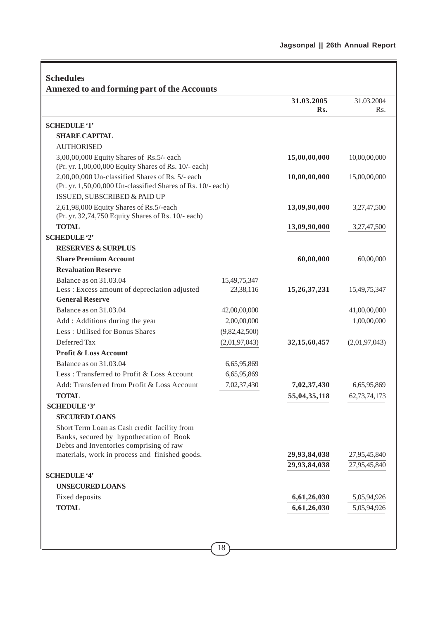| <b>Schedules</b><br><b>Annexed to and forming part of the Accounts</b>                                                             |               |                 |                  |
|------------------------------------------------------------------------------------------------------------------------------------|---------------|-----------------|------------------|
|                                                                                                                                    |               | 31.03.2005      | 31.03.2004       |
|                                                                                                                                    |               | Rs.             | R <sub>s</sub> . |
|                                                                                                                                    |               |                 |                  |
| <b>SCHEDULE '1'</b>                                                                                                                |               |                 |                  |
| <b>SHARE CAPITAL</b>                                                                                                               |               |                 |                  |
| <b>AUTHORISED</b>                                                                                                                  |               |                 |                  |
| 3,00,00,000 Equity Shares of Rs.5/- each<br>(Pr. yr. 1,00,00,000 Equity Shares of Rs. 10/- each)                                   |               | 15,00,00,000    | 10,00,00,000     |
| 2,00,00,000 Un-classified Shares of Rs. 5/- each<br>(Pr. yr. 1,50,00,000 Un-classified Shares of Rs. 10/- each)                    |               | 10,00,00,000    | 15,00,00,000     |
| ISSUED, SUBSCRIBED & PAID UP                                                                                                       |               |                 |                  |
| 2,61,98,000 Equity Shares of Rs.5/-each<br>(Pr. yr. 32,74,750 Equity Shares of Rs. 10/- each)                                      |               | 13,09,90,000    | 3,27,47,500      |
| <b>TOTAL</b>                                                                                                                       |               | 13,09,90,000    | 3,27,47,500      |
| <b>SCHEDULE '2'</b>                                                                                                                |               |                 |                  |
| <b>RESERVES &amp; SURPLUS</b>                                                                                                      |               |                 |                  |
| <b>Share Premium Account</b>                                                                                                       |               | 60,00,000       | 60,00,000        |
| <b>Revaluation Reserve</b>                                                                                                         |               |                 |                  |
| Balance as on 31.03.04                                                                                                             | 15,49,75,347  |                 |                  |
| Less: Excess amount of depreciation adjusted                                                                                       | 23,38,116     | 15,26,37,231    | 15,49,75,347     |
| <b>General Reserve</b>                                                                                                             |               |                 |                  |
| Balance as on 31.03.04                                                                                                             | 42,00,00,000  |                 | 41,00,00,000     |
| Add : Additions during the year                                                                                                    | 2,00,00,000   |                 | 1,00,00,000      |
| Less: Utilised for Bonus Shares                                                                                                    | (9,82,42,500) |                 |                  |
| Deferred Tax                                                                                                                       | (2,01,97,043) | 32, 15, 60, 457 | (2,01,97,043)    |
| <b>Profit &amp; Loss Account</b>                                                                                                   |               |                 |                  |
| Balance as on 31.03.04                                                                                                             | 6,65,95,869   |                 |                  |
| Less: Transferred to Profit & Loss Account                                                                                         | 6,65,95,869   |                 |                  |
| Add: Transferred from Profit & Loss Account                                                                                        | 7,02,37,430   | 7,02,37,430     | 6,65,95,869      |
| <b>TOTAL</b>                                                                                                                       |               | 55,04,35,118    | 62,73,74,173     |
| <b>SCHEDULE '3'</b>                                                                                                                |               |                 |                  |
| <b>SECURED LOANS</b>                                                                                                               |               |                 |                  |
| Short Term Loan as Cash credit facility from<br>Banks, secured by hypothecation of Book<br>Debts and Inventories comprising of raw |               |                 |                  |
| materials, work in process and finished goods.                                                                                     |               | 29,93,84,038    | 27,95,45,840     |
|                                                                                                                                    |               | 29,93,84,038    | 27,95,45,840     |
| <b>SCHEDULE '4'</b>                                                                                                                |               |                 |                  |
| <b>UNSECURED LOANS</b>                                                                                                             |               |                 |                  |
| Fixed deposits                                                                                                                     |               | 6,61,26,030     | 5,05,94,926      |
| <b>TOTAL</b>                                                                                                                       |               | 6,61,26,030     | 5,05,94,926      |
|                                                                                                                                    |               |                 |                  |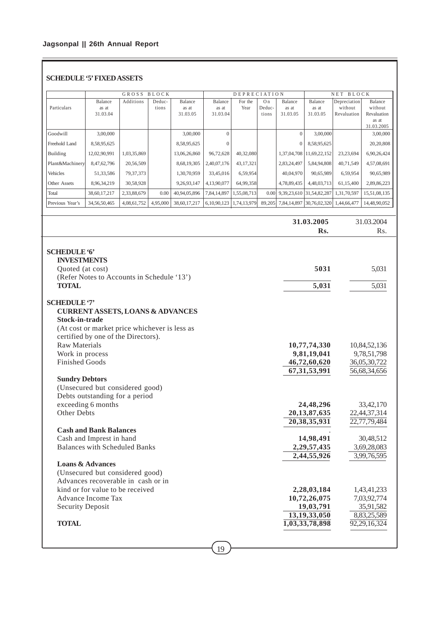# **SCHEDULE '5' FIXED ASSETS**

|                 | GROSS<br>BLOCK               |             |                 | <b>DEPRECIATION</b>          |                              |                 |                                   | NET<br>BLOCK                 |                                |                                        |                                            |
|-----------------|------------------------------|-------------|-----------------|------------------------------|------------------------------|-----------------|-----------------------------------|------------------------------|--------------------------------|----------------------------------------|--------------------------------------------|
| Particulars     | Balance<br>as at<br>31.03.04 | Additions   | Deduc-<br>tions | Balance<br>as at<br>31.03.05 | Balance<br>as at<br>31.03.04 | For the<br>Year | O <sub>n</sub><br>Deduc-<br>tions | Balance<br>as at<br>31.03.05 | Balance<br>as at<br>31.03.05   | Depreciation<br>without<br>Revaluation | Balance<br>without<br>Revaluation<br>as at |
|                 |                              |             |                 |                              |                              |                 |                                   |                              |                                |                                        | 31.03.2005                                 |
| Goodwill        | 3,00,000                     |             |                 | 3,00,000                     | $\Omega$                     |                 |                                   | $\Omega$                     | 3,00,000                       |                                        | 3,00,000                                   |
| Freehold Land   | 8,58,95,625                  |             |                 | 8,58,95,625                  |                              |                 |                                   | $\theta$                     | 8,58,95,625                    |                                        | 20,20,808                                  |
| Building        | 12,02,90,991                 | 1,03,35,869 |                 | 13,06,26,860                 | 96,72,628                    | 40,32,080       |                                   |                              | 1,37,04,708   11,69,22,152     | 23, 23, 694                            | 6,90,26,424                                |
| Plant&Machinery | 8,47,62,796                  | 20,56,509   |                 | 8,68,19,305                  | 2,40,07,176                  | 43.17.321       |                                   | 2,83,24,497                  | 5.84,94,808                    | 40.71.549                              | 4,57,08,691                                |
| Vehicles        | 51,33,586                    | 79, 37, 373 |                 | 1,30,70,959                  | 33,45,016                    | 6,59,954        |                                   | 40,04,970                    | 90,65,989                      | 6,59,954                               | 90,65,989                                  |
| Other Assets    | 8,96,34,219                  | 30,58,928   |                 | 9,26,93,147                  | 4,13,90,077                  | 64,99,358       |                                   | 4,78,89,435                  | 4,48,03,713                    | 61,15,400                              | 2,89,86,223                                |
| Total           | 38,60,17,217                 | 2,33,88,679 | 0.00            | 40,94,05,896                 | 7,84,14,897                  | 1,55,08,713     | 0.00                              |                              | 9, 39, 23, 610 31, 54, 82, 287 | 1,31,70,597                            | 15,51,08,135                               |
| Previous Year's | 34,56,50,465                 | 4,08,61,752 | 4,95,000        | 38,60,17,217                 | 6,10,90,123                  | 1,74,13,979     | 89,205                            | 7,84,14,897                  | 30,76,02,320                   | 1,44,66,477                            | 14,48,90,052                               |

**31.03.2005** 31.03.2004<br>**RS** 

|                                               | Rs.             | Rs.          |
|-----------------------------------------------|-----------------|--------------|
|                                               |                 |              |
| <b>SCHEDULE '6'</b>                           |                 |              |
| <b>INVESTMENTS</b>                            |                 |              |
| Quoted (at cost)                              | 5031            | 5,031        |
| (Refer Notes to Accounts in Schedule '13')    |                 |              |
| <b>TOTAL</b>                                  | 5,031           | 5,031        |
| <b>SCHEDULE '7'</b>                           |                 |              |
| <b>CURRENT ASSETS, LOANS &amp; ADVANCES</b>   |                 |              |
| Stock-in-trade                                |                 |              |
| (At cost or market price whichever is less as |                 |              |
| certified by one of the Directors).           |                 |              |
| <b>Raw Materials</b>                          | 10,77,74,330    | 10,84,52,136 |
| Work in process                               | 9,81,19,041     | 9,78,51,798  |
| <b>Finished Goods</b>                         | 46,72,60,620    | 36,05,30,722 |
|                                               | 67, 31, 53, 991 | 56,68,34,656 |
| <b>Sundry Debtors</b>                         |                 |              |
| (Unsecured but considered good)               |                 |              |
| Debts outstanding for a period                |                 |              |
| exceeding 6 months                            | 24,48,296       | 33,42,170    |
| Other Debts                                   | 20, 13, 87, 635 | 22,44,37,314 |
|                                               | 20, 38, 35, 931 | 22,77,79,484 |
| <b>Cash and Bank Balances</b>                 |                 |              |
| Cash and Imprest in hand                      | 14,98,491       | 30,48,512    |
| <b>Balances with Scheduled Banks</b>          | 2,29,57,435     | 3,69,28,083  |
|                                               | 2,44,55,926     | 3,99,76,595  |
| <b>Loans &amp; Advances</b>                   |                 |              |
| (Unsecured but considered good)               |                 |              |
| Advances recoverable in cash or in            |                 |              |
| kind or for value to be received              | 2,28,03,184     | 1,43,41,233  |
| Advance Income Tax                            | 10,72,26,075    | 7,03,92,774  |
| <b>Security Deposit</b>                       | 19,03,791       | 35,91,582    |
|                                               | 13, 19, 33, 050 | 8,83,25,589  |
| <b>TOTAL</b>                                  | 1,03,33,78,898  | 92,29,16,324 |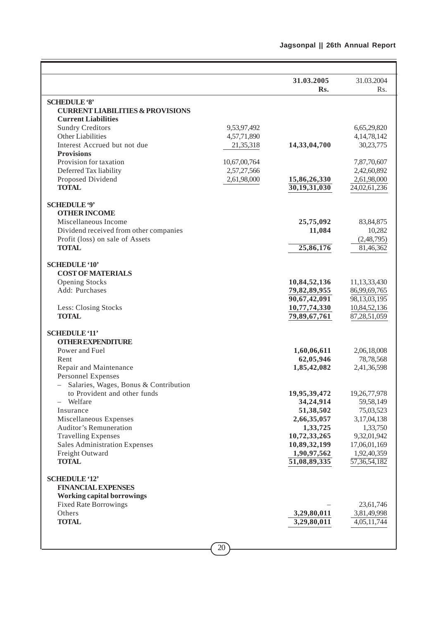|                                                  |              | 31.03.2005              | 31.03.2004                |
|--------------------------------------------------|--------------|-------------------------|---------------------------|
|                                                  |              | Rs.                     | Rs.                       |
| <b>SCHEDULE '8'</b>                              |              |                         |                           |
| <b>CURRENT LIABILITIES &amp; PROVISIONS</b>      |              |                         |                           |
| <b>Current Liabilities</b>                       |              |                         |                           |
| <b>Sundry Creditors</b>                          | 9,53,97,492  |                         | 6,65,29,820               |
| Other Liabilities                                | 4,57,71,890  |                         | 4, 14, 78, 142            |
| Interest Accrued but not due                     | 21,35,318    | 14,33,04,700            | 30,23,775                 |
| <b>Provisions</b>                                |              |                         |                           |
| Provision for taxation                           | 10,67,00,764 |                         | 7,87,70,607               |
| Deferred Tax liability                           | 2,57,27,566  |                         | 2,42,60,892               |
| Proposed Dividend                                | 2,61,98,000  | 15,86,26,330            | 2,61,98,000               |
| <b>TOTAL</b>                                     |              | 30,19,31,030            | 24,02,61,236              |
|                                                  |              |                         |                           |
| <b>SCHEDULE '9'</b>                              |              |                         |                           |
| <b>OTHER INCOME</b>                              |              |                         |                           |
| Miscellaneous Income                             |              | 25,75,092               | 83, 84, 875               |
| Dividend received from other companies           |              | 11,084                  | 10,282                    |
| Profit (loss) on sale of Assets                  |              |                         | (2,48,795)                |
| <b>TOTAL</b>                                     |              | 25,86,176               | 81,46,362                 |
| <b>SCHEDULE '10'</b>                             |              |                         |                           |
| <b>COST OF MATERIALS</b>                         |              |                         |                           |
| <b>Opening Stocks</b>                            |              | 10,84,52,136            | 11,13,33,430              |
| Add: Purchases                                   |              | 79,82,89,955            | 86,99,69,765              |
|                                                  |              | 90,67,42,091            | 98,13,03,195              |
| Less: Closing Stocks                             |              | 10,77,74,330            | 10,84,52,136              |
| <b>TOTAL</b>                                     |              | 79,89,67,761            | 87,28,51,059              |
|                                                  |              |                         |                           |
| <b>SCHEDULE '11'</b>                             |              |                         |                           |
| <b>OTHER EXPENDITURE</b>                         |              |                         |                           |
| Power and Fuel                                   |              | 1,60,06,611             | 2,06,18,008               |
| Rent                                             |              | 62,05,946               | 78,78,568                 |
| Repair and Maintenance                           |              | 1,85,42,082             | 2,41,36,598               |
| <b>Personnel Expenses</b>                        |              |                         |                           |
| Salaries, Wages, Bonus & Contribution            |              |                         |                           |
| to Provident and other funds                     |              | 19,95,39,472            | 19,26,77,978              |
| Welfare                                          |              | 34,24,914               | 59,58,149                 |
| Insurance                                        |              | 51,38,502               | 75,03,523                 |
| Miscellaneous Expenses<br>Auditor's Remuneration |              | 2,66,35,057<br>1,33,725 | 3,17,04,138<br>1,33,750   |
| <b>Travelling Expenses</b>                       |              | 10,72,33,265            | 9,32,01,942               |
| <b>Sales Administration Expenses</b>             |              | 10,89,32,199            | 17,06,01,169              |
| Freight Outward                                  |              | 1,90,97,562             | 1,92,40,359               |
| <b>TOTAL</b>                                     |              | 51,08,89,335            | $\overline{57,36,54,182}$ |
|                                                  |              |                         |                           |
| <b>SCHEDULE '12'</b>                             |              |                         |                           |
| <b>FINANCIAL EXPENSES</b>                        |              |                         |                           |
| <b>Working capital borrowings</b>                |              |                         |                           |
| <b>Fixed Rate Borrowings</b>                     |              |                         | 23,61,746                 |
| Others                                           |              | 3,29,80,011             | 3,81,49,998               |
| <b>TOTAL</b>                                     |              | 3,29,80,011             | 4,05,11,744               |
|                                                  |              |                         |                           |
|                                                  |              |                         |                           |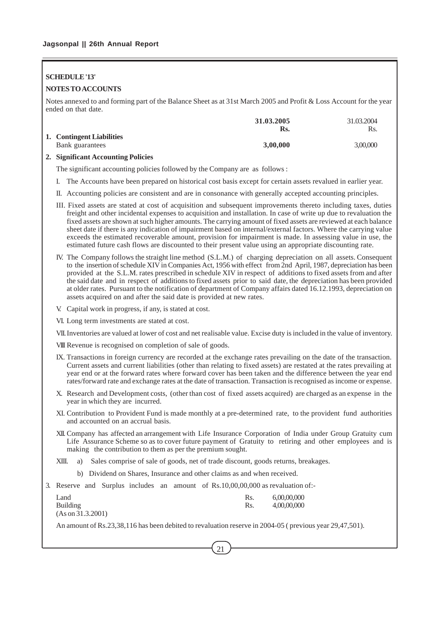# **SCHEDULE '13'**

# **NOTES TO ACCOUNTS**

Notes annexed to and forming part of the Balance Sheet as at 31st March 2005 and Profit & Loss Account for the year ended on that date.

|                           | 31.03.2005 | 31.03.2004 |
|---------------------------|------------|------------|
|                           | Rs.        | Rs.        |
| 1. Contingent Liabilities |            |            |
| Bank guarantees           | 3,00,000   | 3,00,000   |
|                           |            |            |

# **2. Significant Accounting Policies**

The significant accounting policies followed by the Company are as follows :

- I. The Accounts have been prepared on historical cost basis except for certain assets revalued in earlier year.
- II. Accounting policies are consistent and are in consonance with generally accepted accounting principles.
- III. Fixed assets are stated at cost of acquisition and subsequent improvements thereto including taxes, duties freight and other incidental expenses to acquisition and installation. In case of write up due to revaluation the fixed assets are shown at such higher amounts. The carrying amount of fixed assets are reviewed at each balance sheet date if there is any indication of impairment based on internal/external factors. Where the carrying value exceeds the estimated recoverable amount, provision for impairment is made. In assessing value in use, the estimated future cash flows are discounted to their present value using an appropriate discounting rate.
- IV. The Company follows the straight line method (S.L.M.) of charging depreciation on all assets. Consequent to the insertion of schedule XIV in Companies Act, 1956 with effect from 2nd April, 1987, depreciation has been provided at the S.L.M. rates prescribed in schedule XIV in respect of additions to fixed assets from and after the said date and in respect of additions to fixed assets prior to said date, the depreciation has been provided at older rates. Pursuant to the notification of department of Company affairs dated 16.12.1993, depreciation on assets acquired on and after the said date is provided at new rates.
- V. Capital work in progress, if any, is stated at cost.

VI. Long term investments are stated at cost.

VII.Inventories are valued at lower of cost and net realisable value. Excise duty is included in the value of inventory.

VIII Revenue is recognised on completion of sale of goods.

- IX. Transactions in foreign currency are recorded at the exchange rates prevailing on the date of the transaction. Current assets and current liabilities (other than relating to fixed assets) are restated at the rates prevailing at year end or at the forward rates where forward cover has been taken and the difference between the year end rates/forward rate and exchange rates at the date of transaction. Transaction is recognised as income or expense.
- X. Research and Development costs, (other than cost of fixed assets acquired) are charged as an expense in the year in which they are incurred.
- XI. Contribution to Provident Fund is made monthly at a pre-determined rate, to the provident fund authorities and accounted on an accrual basis.
- XII. Company has affected an arrangement with Life Insurance Corporation of India under Group Gratuity cum Life Assurance Scheme so as to cover future payment of Gratuity to retiring and other employees and is making the contribution to them as per the premium sought.
- XIII. a) Sales comprise of sale of goods, net of trade discount, goods returns, breakages.
	- b) Dividend on Shares, Insurance and other claims as and when received.
- 3. Reserve and Surplus includes an amount of Rs.10,00,00,000 as revaluation of:-

| Land              | Rs. | 6,00,00,000 |
|-------------------|-----|-------------|
| <b>Building</b>   | Rs. | 4,00,00,000 |
| (As on 31.3.2001) |     |             |

An amount of Rs.23,38,116 has been debited to revaluation reserve in 2004-05 ( previous year 29,47,501).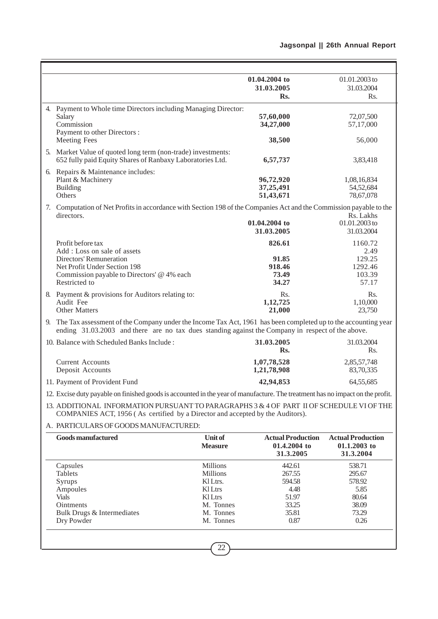$\overline{a}$ 

|                                                                                                                                                                                                                       |                        | 01.04.2004 to             | 01.01.2003 to             |
|-----------------------------------------------------------------------------------------------------------------------------------------------------------------------------------------------------------------------|------------------------|---------------------------|---------------------------|
|                                                                                                                                                                                                                       |                        | 31.03.2005                | 31.03.2004                |
|                                                                                                                                                                                                                       |                        | Rs.                       | Rs.                       |
| 4. Payment to Whole time Directors including Managing Director:                                                                                                                                                       |                        |                           |                           |
| Salary<br>Commission                                                                                                                                                                                                  |                        | 57,60,000<br>34,27,000    | 72,07,500<br>57,17,000    |
| Payment to other Directors :                                                                                                                                                                                          |                        |                           |                           |
| <b>Meeting Fees</b>                                                                                                                                                                                                   |                        | 38,500                    | 56,000                    |
| 5. Market Value of quoted long term (non-trade) investments:                                                                                                                                                          |                        |                           |                           |
| 652 fully paid Equity Shares of Ranbaxy Laboratories Ltd.                                                                                                                                                             |                        | 6,57,737                  | 3,83,418                  |
| 6. Repairs & Maintenance includes:                                                                                                                                                                                    |                        |                           |                           |
| Plant & Machinery<br><b>Building</b>                                                                                                                                                                                  |                        | 96,72,920<br>37,25,491    | 1,08,16,834<br>54,52,684  |
| Others                                                                                                                                                                                                                |                        | 51,43,671                 | 78,67,078                 |
| 7. Computation of Net Profits in accordance with Section 198 of the Companies Act and the Commission payable to the                                                                                                   |                        |                           |                           |
| directors.                                                                                                                                                                                                            |                        |                           | Rs. Lakhs                 |
|                                                                                                                                                                                                                       |                        | 01.04.2004 to             | 01.01.2003 to             |
|                                                                                                                                                                                                                       |                        | 31.03.2005                | 31.03.2004                |
| Profit before tax                                                                                                                                                                                                     |                        | 826.61                    | 1160.72                   |
| Add: Loss on sale of assets<br><b>Directors' Remuneration</b>                                                                                                                                                         |                        | 91.85                     | 2.49<br>129.25            |
| Net Profit Under Section 198                                                                                                                                                                                          |                        | 918.46                    | 1292.46                   |
| Commission payable to Directors' @ 4% each                                                                                                                                                                            |                        | 73.49                     | 103.39                    |
| Restricted to                                                                                                                                                                                                         |                        | 34.27                     | 57.17                     |
| 8. Payment & provisions for Auditors relating to:                                                                                                                                                                     |                        | Rs.                       | Rs.                       |
| Audit Fee<br><b>Other Matters</b>                                                                                                                                                                                     |                        | 1,12,725<br>21,000        | 1,10,000<br>23,750        |
|                                                                                                                                                                                                                       |                        |                           |                           |
| 9. The Tax assessment of the Company under the Income Tax Act, 1961 has been completed up to the accounting year<br>ending 31.03.2003 and there are no tax dues standing against the Company in respect of the above. |                        |                           |                           |
| 10. Balance with Scheduled Banks Include:                                                                                                                                                                             |                        | 31.03.2005                | 31.03.2004                |
|                                                                                                                                                                                                                       |                        | Rs.                       | Rs.                       |
| <b>Current Accounts</b>                                                                                                                                                                                               |                        | 1,07,78,528               | 2,85,57,748               |
| Deposit Accounts                                                                                                                                                                                                      |                        | 1,21,78,908               | 83,70,335                 |
| 11. Payment of Provident Fund                                                                                                                                                                                         |                        | 42,94,853                 | 64,55,685                 |
| 12. Excise duty payable on finished goods is accounted in the year of manufacture. The treatment has no impact on the profit.                                                                                         |                        |                           |                           |
| 13. ADDITIONAL INFORMATION PURSUANT TO PARAGRAPHS 3 & 4 OF PART II OF SCHEDULE VI OF THE<br>COMPANIES ACT, 1956 (As certified by a Director and accepted by the Auditors).                                            |                        |                           |                           |
| A. PARTICULARS OF GOODS MANUFACTURED:                                                                                                                                                                                 |                        |                           |                           |
| <b>Goods manufactured</b>                                                                                                                                                                                             | <b>Unit of</b>         | <b>Actual Production</b>  | <b>Actual Production</b>  |
|                                                                                                                                                                                                                       | <b>Measure</b>         | 01.4.2004 to<br>31.3.2005 | 01.1.2003 to<br>31.3.2004 |
|                                                                                                                                                                                                                       |                        |                           |                           |
| Capsules<br><b>Tablets</b>                                                                                                                                                                                            | Millions<br>Millions   | 442.61<br>267.55          | 538.71<br>295.67          |
| Syrups                                                                                                                                                                                                                | Kl Ltrs.               | 594.58                    | 578.92                    |
| Ampoules                                                                                                                                                                                                              | Kl Ltrs                | 4.48                      | 5.85                      |
| <b>Vials</b>                                                                                                                                                                                                          | Kl Ltrs                | 51.97                     | 80.64                     |
| Ointments                                                                                                                                                                                                             | M. Tonnes<br>M. Tonnes | 33.25                     | 38.09                     |
| Bulk Drugs & Intermediates<br>Dry Powder                                                                                                                                                                              | M. Tonnes              | 35.81<br>0.87             | 73.29<br>0.26             |
|                                                                                                                                                                                                                       |                        |                           |                           |
|                                                                                                                                                                                                                       |                        |                           |                           |
|                                                                                                                                                                                                                       | 22                     |                           |                           |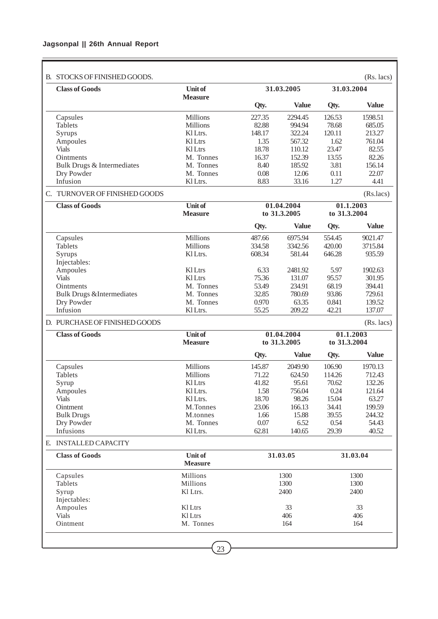# **Jagsonpal || 26th Annual Report**

| B. STOCKS OF FINISHED GOODS.         |                                  |                |                            |                | $(Rs.$ lacs $)$           |
|--------------------------------------|----------------------------------|----------------|----------------------------|----------------|---------------------------|
| <b>Class of Goods</b>                | <b>Unit of</b><br><b>Measure</b> |                | 31.03.2005                 | 31.03.2004     |                           |
|                                      |                                  | Qty.           | <b>Value</b>               | Qty.           | <b>Value</b>              |
| Capsules                             | <b>Millions</b>                  | 227.35         | 2294.45                    | 126.53         | 1598.51                   |
| <b>Tablets</b>                       | <b>Millions</b>                  | 82.88          | 994.94                     | 78.68          | 685.05                    |
| Syrups                               | KI Ltrs.                         | 148.17         | 322.24                     | 120.11         | 213.27                    |
| Ampoules                             | <b>Kl</b> Ltrs                   | 1.35           | 567.32                     | 1.62           | 761.04                    |
| <b>Vials</b>                         | Kl Ltrs                          | 18.78          | 110.12                     | 23.47          | 82.55                     |
| <b>Ointments</b>                     | M. Tonnes                        | 16.37          | 152.39                     | 13.55          | 82.26                     |
| Bulk Drugs & Intermediates           | M. Tonnes                        | 8.40           | 185.92                     | 3.81           | 156.14                    |
| Dry Powder<br>Infusion               | M. Tonnes<br>Kl Ltrs.            | 0.08<br>8.83   | 12.06<br>33.16             | 0.11<br>1.27   | 22.07<br>4.41             |
| C. TURNOVER OF FINISHED GOODS        |                                  |                |                            |                | (Rs.lacs)                 |
| <b>Class of Goods</b>                | <b>Unit of</b>                   |                | 01.04.2004                 | 01.1.2003      |                           |
|                                      | <b>Measure</b>                   |                | to 31.3.2005               | to 31.3.2004   |                           |
|                                      |                                  | Qty.           | <b>Value</b>               | Qty.           | <b>Value</b>              |
| Capsules                             | <b>Millions</b>                  | 487.66         | 6975.94                    | 554.45         | 9021.47                   |
| <b>Tablets</b>                       | <b>Millions</b>                  | 334.58         | 3342.56                    | 420.00         | 3715.84                   |
| Syrups                               | Kl Ltrs.                         | 608.34         | 581.44                     | 646.28         | 935.59                    |
| Injectables:                         |                                  |                |                            |                |                           |
| Ampoules                             | <b>Kl</b> Ltrs                   | 6.33           | 2481.92                    | 5.97           | 1902.63                   |
| <b>Vials</b>                         | <b>Kl</b> Ltrs                   | 75.36          | 131.07                     | 95.57          | 301.95                    |
| Ointments                            | M. Tonnes                        | 53.49          | 234.91                     | 68.19          | 394.41                    |
| <b>Bulk Drugs &amp;Intermediates</b> | M. Tonnes                        | 32.85          | 780.69                     | 93.86          | 729.61                    |
| Dry Powder<br>Infusion               | M. Tonnes<br>Kl Ltrs.            | 0.970<br>55.25 | 63.35<br>209.22            | 0.841<br>42.21 | 139.52<br>137.07          |
| D. PURCHASE OF FINISHED GOODS        |                                  |                |                            |                | $(Rs.$ lacs)              |
|                                      |                                  |                |                            |                |                           |
| <b>Class of Goods</b>                | <b>Unit of</b><br><b>Measure</b> |                | 01.04.2004<br>to 31.3.2005 |                | 01.1.2003<br>to 31.3.2004 |
|                                      |                                  | Qty.           | <b>Value</b>               | Qty.           | <b>Value</b>              |
| Capsules                             | <b>Millions</b>                  | 145.87         | 2049.90                    | 106.90         | 1970.13                   |
| <b>Tablets</b>                       | Millions                         | 71.22          | 624.50                     | 114.26         | 712.43                    |
| Syrup                                | Kl Ltrs                          | 41.82          | 95.61                      | 70.62          | 132.26                    |
| Ampoules                             | Kl Ltrs.                         | 1.58           | 756.04                     | 0.24           | 121.64                    |
| <b>Vials</b>                         | Kl Ltrs.                         | 18.70          | 98.26                      | 15.04          | 63.27                     |
| Ointment                             | M.Tonnes                         | 23.06          | 166.13                     | 34.41          | 199.59                    |
| <b>Bulk Drugs</b>                    | M.tonnes                         | 1.66           | 15.88                      | 39.55          | 244.32                    |
| Dry Powder<br>Infusions              | M. Tonnes                        | 0.07           | 6.52                       | 0.54<br>29.39  | 54.43<br>40.52            |
|                                      | Kl Ltrs.                         | 62.81          | 140.65                     |                |                           |
| E. INSTALLED CAPACITY                |                                  |                |                            |                |                           |
| <b>Class of Goods</b>                | <b>Unit of</b><br><b>Measure</b> |                | 31.03.05                   |                | 31.03.04                  |
| Capsules                             | Millions                         |                | 1300                       |                | 1300                      |
| Tablets                              | Millions                         |                | 1300                       |                | 1300                      |
| Syrup                                | Kl Ltrs.                         |                | 2400                       |                | 2400                      |
| Injectables:                         |                                  |                |                            |                |                           |
| Ampoules<br><b>Vials</b>             | Kl Ltrs<br>Kl Ltrs               |                | 33<br>406                  |                | 33<br>406                 |
| Ointment                             | M. Tonnes                        |                | 164                        |                | 164                       |
|                                      | 23                               |                |                            |                |                           |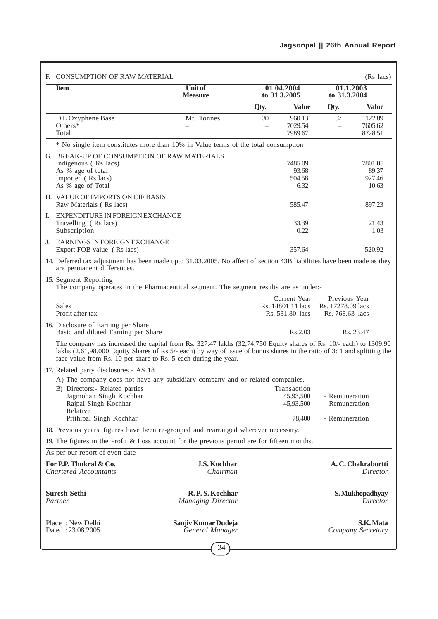| F. CONSUMPTION OF RAW MATERIAL                                                                                                                                                                                                                                                                                  |                                            |                                |                                                      |                                                       | (Rs lacs)                           |
|-----------------------------------------------------------------------------------------------------------------------------------------------------------------------------------------------------------------------------------------------------------------------------------------------------------------|--------------------------------------------|--------------------------------|------------------------------------------------------|-------------------------------------------------------|-------------------------------------|
| <b>Item</b>                                                                                                                                                                                                                                                                                                     | <b>Unit of</b><br><b>Measure</b>           |                                | 01.04.2004<br>to 31.3.2005                           | to 31.3.2004                                          | 01.1.2003                           |
|                                                                                                                                                                                                                                                                                                                 |                                            | Qty.                           | Value                                                | Qty.                                                  | Value                               |
| D L Oxyphene Base<br>Others $*$<br>Total                                                                                                                                                                                                                                                                        | Mt. Tonnes                                 | 30<br>$\overline{\phantom{0}}$ | 960.13<br>7029.54<br>7989.67                         | 37<br>$\overline{\phantom{0}}$                        | 1122.89<br>7605.62<br>8728.51       |
| * No single item constitutes more than 10% in Value terms of the total consumption                                                                                                                                                                                                                              |                                            |                                |                                                      |                                                       |                                     |
| G. BREAK-UP OF CONSUMPTION OF RAW MATERIALS<br>Indigenous (Rs lacs)<br>As % age of total<br>Imported (Rs lacs)<br>As % age of Total                                                                                                                                                                             |                                            |                                | 7485.09<br>93.68<br>504.58<br>6.32                   |                                                       | 7801.05<br>89.37<br>927.46<br>10.63 |
| H. VALUE OF IMPORTS ON CIF BASIS<br>Raw Materials (Rs lacs)                                                                                                                                                                                                                                                     |                                            |                                | 585.47                                               |                                                       | 897.23                              |
| EXPENDITURE IN FOREIGN EXCHANGE<br>I.<br>Travelling (Rs lacs)<br>Subscription                                                                                                                                                                                                                                   |                                            |                                | 33.39<br>0.22                                        |                                                       | 21.43<br>1.03                       |
| J. EARNINGS IN FOREIGN EXCHANGE<br>Export FOB value (Rs lacs)                                                                                                                                                                                                                                                   |                                            |                                | 357.64                                               |                                                       | 520.92                              |
| 14. Deferred tax adjustment has been made upto 31.03.2005. No affect of section 43B liabilities have been made as they<br>are permanent differences.                                                                                                                                                            |                                            |                                |                                                      |                                                       |                                     |
| 15. Segment Reporting<br>The company operates in the Pharmaceutical segment. The segment results are as under:-                                                                                                                                                                                                 |                                            |                                |                                                      |                                                       |                                     |
| Sales<br>Profit after tax                                                                                                                                                                                                                                                                                       |                                            |                                | Current Year<br>Rs. 14801.11 lacs<br>Rs. 531.80 lacs | Previous Year<br>Rs. 17278.09 lacs<br>Rs. 768.63 lacs |                                     |
| 16. Disclosure of Earning per Share:<br>Basic and diluted Earning per Share                                                                                                                                                                                                                                     |                                            |                                | Rs.2.03                                              |                                                       | Rs. 23.47                           |
| The company has increased the capital from Rs. 327.47 lakhs (32,74,750 Equity shares of Rs. 10/- each) to 1309.90<br>lakhs (2,61,98,000 Equity Shares of Rs.5/- each) by way of issue of bonus shares in the ratio of 3: 1 and splitting the<br>face value from Rs. 10 per share to Rs. 5 each during the year. |                                            |                                |                                                      |                                                       |                                     |
| 17. Related party disclosures - AS 18                                                                                                                                                                                                                                                                           |                                            |                                |                                                      |                                                       |                                     |
| A) The company does not have any subsidiary company and or related companies.                                                                                                                                                                                                                                   |                                            |                                | Transaction                                          |                                                       |                                     |
| B) Directors:- Related parties<br>Jagmohan Singh Kochhar<br>Rajpal Singh Kochhar<br>Relative                                                                                                                                                                                                                    |                                            |                                | 45,93,500<br>45.93.500                               | - Remuneration<br>- Remuneration                      |                                     |
| Prithipal Singh Kochhar                                                                                                                                                                                                                                                                                         |                                            |                                | 78,400                                               | - Remuneration                                        |                                     |
| 18. Previous years' figures have been re-grouped and rearranged wherever necessary.                                                                                                                                                                                                                             |                                            |                                |                                                      |                                                       |                                     |
| 19. The figures in the Profit & Loss account for the previous period are for fifteen months.                                                                                                                                                                                                                    |                                            |                                |                                                      |                                                       |                                     |
| As per our report of even date                                                                                                                                                                                                                                                                                  |                                            |                                |                                                      |                                                       |                                     |
| For P.P. Thukral & Co.<br><b>Chartered Accountants</b>                                                                                                                                                                                                                                                          | <b>J.S. Kochhar</b><br>Chairman            |                                |                                                      |                                                       | A. C. Chakrabortti<br>Director      |
| <b>Suresh Sethi</b><br>Partner                                                                                                                                                                                                                                                                                  | R.P.S. Kochhar<br><b>Managing Director</b> |                                |                                                      |                                                       | S. Mukhopadhyay<br>Director         |
| Place: New Delhi<br>Dated: 23.08.2005                                                                                                                                                                                                                                                                           | Sanjiv Kumar Dudeja<br>General Manager     |                                |                                                      |                                                       | S.K. Mata<br>Company Secretary      |
|                                                                                                                                                                                                                                                                                                                 | 24                                         |                                |                                                      |                                                       |                                     |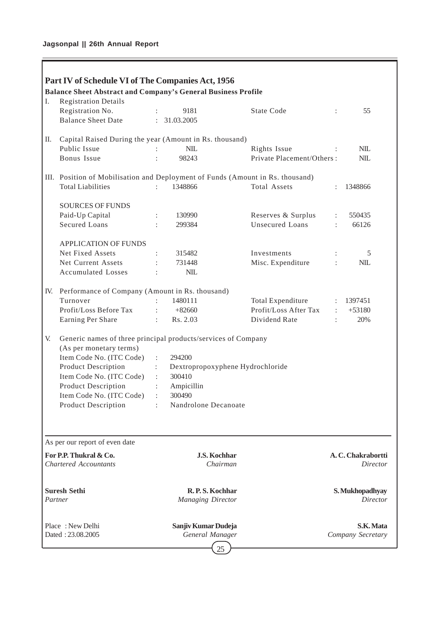Ē

|     | Part IV of Schedule VI of The Companies Act, 1956                              |                      |                                  |                           |                      |                    |
|-----|--------------------------------------------------------------------------------|----------------------|----------------------------------|---------------------------|----------------------|--------------------|
|     | <b>Balance Sheet Abstract and Company's General Business Profile</b>           |                      |                                  |                           |                      |                    |
| I.  | <b>Registration Details</b>                                                    |                      |                                  |                           |                      |                    |
|     | Registration No.                                                               |                      | 9181                             | <b>State Code</b>         | $\ddot{\phantom{a}}$ | 55                 |
|     | <b>Balance Sheet Date</b>                                                      | $\ddot{\phantom{a}}$ | 31.03.2005                       |                           |                      |                    |
| П.  | Capital Raised During the year (Amount in Rs. thousand)                        |                      |                                  |                           |                      |                    |
|     | Public Issue                                                                   |                      | NIL                              | Rights Issue              |                      | $NIL$              |
|     | Bonus Issue                                                                    |                      | 98243                            | Private Placement/Others: |                      | <b>NIL</b>         |
|     | III. Position of Mobilisation and Deployment of Funds (Amount in Rs. thousand) |                      |                                  |                           |                      |                    |
|     | <b>Total Liabilities</b>                                                       |                      | 1348866                          | Total Assets              |                      | 1348866            |
|     | <b>SOURCES OF FUNDS</b>                                                        |                      |                                  |                           |                      |                    |
|     | Paid-Up Capital                                                                |                      | 130990                           | Reserves & Surplus        | $\ddot{\phantom{a}}$ | 550435             |
|     | Secured Loans                                                                  |                      | 299384                           | Unsecured Loans           | $\ddot{\cdot}$       | 66126              |
|     | <b>APPLICATION OF FUNDS</b>                                                    |                      |                                  |                           |                      |                    |
|     | Net Fixed Assets                                                               |                      | 315482                           | Investments               |                      | 5                  |
|     | Net Current Assets                                                             |                      | 731448                           | Misc. Expenditure         | $\ddot{\cdot}$       | <b>NIL</b>         |
|     | <b>Accumulated Losses</b>                                                      |                      | <b>NIL</b>                       |                           |                      |                    |
| IV. | Performance of Company (Amount in Rs. thousand)                                |                      |                                  |                           |                      |                    |
|     | Turnover                                                                       |                      | 1480111                          | Total Expenditure         | $\ddot{\phantom{a}}$ | 1397451            |
|     | Profit/Loss Before Tax                                                         |                      | $+82660$                         | Profit/Loss After Tax     | $\ddot{\phantom{a}}$ | $+53180$           |
|     | Earning Per Share                                                              | $\ddot{\cdot}$       | Rs. 2.03                         | Dividend Rate             | $\ddot{\phantom{a}}$ | 20%                |
| V.  | Generic names of three principal products/services of Company                  |                      |                                  |                           |                      |                    |
|     | (As per monetary terms)                                                        |                      |                                  |                           |                      |                    |
|     | Item Code No. (ITC Code)                                                       | $\ddot{\phantom{a}}$ | 294200                           |                           |                      |                    |
|     | <b>Product Description</b>                                                     | t.                   | Dextropropoxyphene Hydrochloride |                           |                      |                    |
|     | Item Code No. (ITC Code)                                                       |                      | 300410                           |                           |                      |                    |
|     | <b>Product Description</b>                                                     | $\ddot{\cdot}$       | Ampicillin                       |                           |                      |                    |
|     | Item Code No. (ITC Code)                                                       |                      | 300490                           |                           |                      |                    |
|     | <b>Product Description</b>                                                     | ÷                    | Nandrolone Decanoate             |                           |                      |                    |
|     |                                                                                |                      |                                  |                           |                      |                    |
|     | As per our report of even date                                                 |                      |                                  |                           |                      |                    |
|     | For P.P. Thukral & Co.                                                         |                      | <b>J.S. Kochhar</b>              |                           |                      | A. C. Chakrabortti |
|     | <b>Chartered Accountants</b>                                                   |                      | Chairman                         |                           |                      | Director           |
|     |                                                                                |                      |                                  |                           |                      |                    |
|     | <b>Suresh Sethi</b>                                                            |                      | R.P.S. Kochhar                   |                           |                      | S. Mukhopadhyay    |
|     | Partner                                                                        |                      | <b>Managing Director</b>         |                           |                      | <b>Director</b>    |
|     | Place: New Delhi                                                               |                      | Sanjiv Kumar Dudeja              |                           |                      | S.K. Mata          |
|     | Dated: 23.08.2005                                                              |                      | General Manager                  |                           |                      | Company Secretary  |
|     |                                                                                |                      |                                  |                           |                      |                    |
|     |                                                                                |                      | 25                               |                           |                      |                    |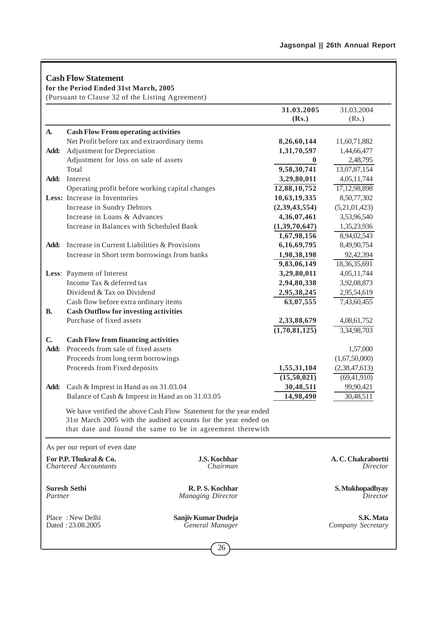|              | <b>Cash Flow Statement</b><br>for the Period Ended 31st March, 2005<br>(Pursuant to Clause 32 of the Listing Agreement) |                                                                                                                                                                                                   |                            |                                |
|--------------|-------------------------------------------------------------------------------------------------------------------------|---------------------------------------------------------------------------------------------------------------------------------------------------------------------------------------------------|----------------------------|--------------------------------|
|              |                                                                                                                         |                                                                                                                                                                                                   | 31.03.2005<br>(Rs.)        | 31.03.2004<br>(Rs.)            |
| A.           | <b>Cash Flow From operating activities</b>                                                                              |                                                                                                                                                                                                   |                            |                                |
|              | Net Profit before tax and extraordinary items                                                                           |                                                                                                                                                                                                   | 8,26,60,144                | 11,60,71,882                   |
| Add:         | Adjustment for Depreciation                                                                                             |                                                                                                                                                                                                   | 1,31,70,597                | 1,44,66,477                    |
|              | Adjustment for loss on sale of assets                                                                                   |                                                                                                                                                                                                   | $\bf{0}$                   | 2,48,795                       |
|              | Total                                                                                                                   |                                                                                                                                                                                                   | 9,58,30,741                | 13,07,87,154                   |
| Add:         | Interest                                                                                                                |                                                                                                                                                                                                   | 3,29,80,011                | 4,05,11,744                    |
|              | Operating profit before working capital changes                                                                         |                                                                                                                                                                                                   | 12,88,10,752               | 17,12,98,898                   |
|              | Less: Increase in Inventories                                                                                           |                                                                                                                                                                                                   | 10,63,19,335               | 8,50,77,302                    |
|              | Increase in Sundry Debtors                                                                                              |                                                                                                                                                                                                   | (2,39,43,554)              | (5,21,01,423)                  |
|              | Increase in Loans & Advances                                                                                            |                                                                                                                                                                                                   | 4,36,07,461                | 3,53,96,540                    |
|              | Increase in Balances with Scheduled Bank                                                                                |                                                                                                                                                                                                   | (1,39,70,647)              | 1,35,23,936                    |
|              |                                                                                                                         |                                                                                                                                                                                                   | 1,67,98,156                | 8,94,02,543                    |
| Add:         | Increase in Current Liabilities & Provisions                                                                            |                                                                                                                                                                                                   | 6,16,69,795                | 8,49,90,754                    |
|              | Increase in Short term borrowings from banks                                                                            |                                                                                                                                                                                                   | 1,98,38,198                | 92,42,394                      |
|              |                                                                                                                         |                                                                                                                                                                                                   | 9,83,06,149                | 18,36,35,691                   |
|              | Less: Payment of Interest                                                                                               |                                                                                                                                                                                                   | 3,29,80,011                | 4,05,11,744                    |
|              | Income Tax & deferred tax                                                                                               |                                                                                                                                                                                                   | 2,94,80,338                | 3,92,08,873                    |
|              | Dividend & Tax on Dividend                                                                                              |                                                                                                                                                                                                   | 2,95,38,245                | 2,95,54,619                    |
|              | Cash flow before extra ordinary items                                                                                   |                                                                                                                                                                                                   | 63,07,555                  | 7,43,60,455                    |
| <b>B.</b>    | <b>Cash Outflow for investing activities</b>                                                                            |                                                                                                                                                                                                   |                            |                                |
|              | Purchase of fixed assets                                                                                                |                                                                                                                                                                                                   | 2,33,88,679                | 4,08,61,752                    |
|              |                                                                                                                         |                                                                                                                                                                                                   | $\overline{(1,70,81,125)}$ | 3,34,98,703                    |
| $\mathbf{C}$ | <b>Cash Flow from financing activities</b>                                                                              |                                                                                                                                                                                                   |                            |                                |
| Add:         | Proceeds from sale of fixed assets                                                                                      |                                                                                                                                                                                                   |                            | 1,57,000                       |
|              | Proceeds from long term borrowings                                                                                      |                                                                                                                                                                                                   |                            | (1,67,50,000)                  |
|              | Proceeds from Fixed deposits                                                                                            |                                                                                                                                                                                                   | 1,55,31,104                | (2,38,47,613)                  |
|              |                                                                                                                         |                                                                                                                                                                                                   | $\overline{(15,50,021)}$   | $\overline{(69,41,910)}$       |
| Add:         | Cash & Imprest in Hand as on 31.03.04                                                                                   |                                                                                                                                                                                                   | 30,48,511                  | 99,90,421                      |
|              |                                                                                                                         | Balance of Cash & Imprest in Hand as on 31.03.05                                                                                                                                                  | 14,98,490                  | 30,48,511                      |
|              |                                                                                                                         | We have verified the above Cash Flow Statement for the year ended<br>31st March 2005 with the audited accounts for the year ended on<br>that date and found the same to be in agreement therewith |                            |                                |
|              | As per our report of even date                                                                                          |                                                                                                                                                                                                   |                            |                                |
|              | For P.P. Thukral & Co.<br><b>Chartered Accountants</b>                                                                  | <b>J.S. Kochhar</b><br>Chairman                                                                                                                                                                   |                            | A.C. Chakrabortti<br>Director  |
| Partner      | <b>Suresh Sethi</b>                                                                                                     | R.P.S. Kochhar<br><b>Managing Director</b>                                                                                                                                                        |                            | S. Mukhopadhyay<br>Director    |
|              | Place: New Delhi<br>Dated: 23.08.2005                                                                                   | Sanjiv Kumar Dudeja<br>General Manager                                                                                                                                                            |                            | S.K. Mata<br>Company Secretary |
|              |                                                                                                                         | 26                                                                                                                                                                                                |                            |                                |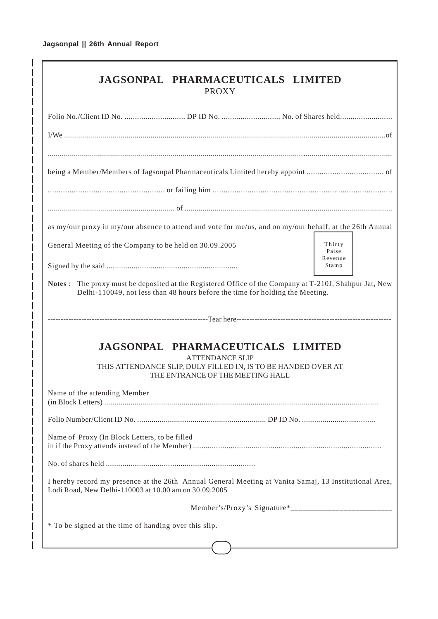| JAGSONPAL PHARMACEUTICALS LIMITED<br><b>PROXY</b>                                                                                                                                       |                            |
|-----------------------------------------------------------------------------------------------------------------------------------------------------------------------------------------|----------------------------|
|                                                                                                                                                                                         |                            |
|                                                                                                                                                                                         |                            |
|                                                                                                                                                                                         |                            |
|                                                                                                                                                                                         |                            |
|                                                                                                                                                                                         |                            |
| as my/our proxy in my/our absence to attend and vote for me/us, and on my/our behalf, at the 26th Annual                                                                                |                            |
| General Meeting of the Company to be held on 30.09.2005                                                                                                                                 | Thirty<br>Paise<br>Revenue |
|                                                                                                                                                                                         | Stamp                      |
| Notes: The proxy must be deposited at the Registered Office of the Company at T-210J, Shahpur Jat, New<br>Delhi-110049, not less than 48 hours before the time for holding the Meeting. |                            |
|                                                                                                                                                                                         |                            |
| JAGSONPAL PHARMACEUTICALS LIMITED<br><b>ATTENDANCE SLIP</b><br>THIS ATTENDANCE SLIP, DULY FILLED IN, IS TO BE HANDED OVER AT<br>THE ENTRANCE OF THE MEETING HALL                        |                            |
| Name of the attending Member                                                                                                                                                            |                            |
|                                                                                                                                                                                         |                            |
| Name of Proxy (In Block Letters, to be filled                                                                                                                                           |                            |
|                                                                                                                                                                                         |                            |
| I hereby record my presence at the 26th Annual General Meeting at Vanita Samaj, 13 Institutional Area,<br>Lodi Road, New Delhi-110003 at 10.00 am on 30.09.2005                         |                            |
|                                                                                                                                                                                         |                            |
| * To be signed at the time of handing over this slip.                                                                                                                                   |                            |
|                                                                                                                                                                                         |                            |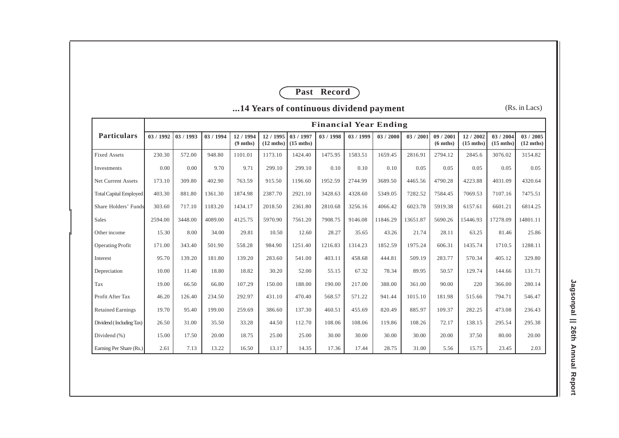# **Past Record**

|                               |           | <b>Financial Year Ending</b> |           |                                 |                                  |                                  |           |           |          |          |                                 |                                |                                  |                                  |
|-------------------------------|-----------|------------------------------|-----------|---------------------------------|----------------------------------|----------------------------------|-----------|-----------|----------|----------|---------------------------------|--------------------------------|----------------------------------|----------------------------------|
| Particulars                   | 03 / 1992 | 03 / 1993                    | 03 / 1994 | 12 / 1994<br>$(9 \text{ mths})$ | 12 / 1995<br>$(12 \text{ mths})$ | 03 / 1997<br>$(15 \text{ mths})$ | 03 / 1998 | 03 / 1999 | 03/2000  | 03/2001  | 09 / 2001<br>$(6 \text{ mths})$ | 12/2002<br>$(15 \text{ mths})$ | 03 / 2004<br>$(15 \text{ mths})$ | 03 / 2005<br>$(12 \text{ mths})$ |
| <b>Fixed Assets</b>           | 230.30    | 572.00                       | 948.80    | 1101.01                         | 1173.10                          | 1424.40                          | 1475.95   | 1583.51   | 1659.45  | 2816.91  | 2794.12                         | 2845.6                         | 3076.02                          | 3154.82                          |
| Investments                   | 0.00      | 0.00                         | 9.70      | 9.71                            | 299.10                           | 299.10                           | 0.10      | 0.10      | 0.10     | 0.05     | 0.05                            | 0.05                           | 0.05                             | 0.05                             |
| Net Current Assets            | 173.10    | 309.80                       | 402.90    | 763.59                          | 915.50                           | 1196.60                          | 1952.59   | 2744.99   | 3689.50  | 4465.56  | 4790.28                         | 4223.88                        | 4031.09                          | 4320.64                          |
| <b>Total Capital Employed</b> | 403.30    | 881.80                       | 1361.30   | 1874.98                         | 2387.70                          | 2921.10                          | 3428.63   | 4328.60   | 5349.05  | 7282.52  | 7584.45                         | 7069.53                        | 7107.16                          | 7475.51                          |
| Share Holders' Funds          | 303.60    | 717.10                       | 1183.20   | 1434.17                         | 2018.50                          | 2361.80                          | 2810.68   | 3256.16   | 4066.42  | 6023.78  | 5919.38                         | 6157.61                        | 6601.21                          | 6814.25                          |
| Sales                         | 2594.00   | 3448.00                      | 4089.00   | 4125.75                         | 5970.90                          | 7561.20                          | 7908.75   | 9146.08   | 11846.29 | 13651.87 | 5690.26                         | 15446.93                       | 17278.09                         | 14801.11                         |
| Other income                  | 15.30     | 8.00                         | 34.00     | 29.81                           | 10.50                            | 12.60                            | 28.27     | 35.65     | 43.26    | 21.74    | 28.11                           | 63.25                          | 81.46                            | 25.86                            |
| <b>Operating Profit</b>       | 171.00    | 343.40                       | 501.90    | 558.28                          | 984.90                           | 1251.40                          | 1216.83   | 1314.23   | 1852.59  | 1975.24  | 606.31                          | 1435.74                        | 1710.5                           | 1288.11                          |
| Interest                      | 95.70     | 139.20                       | 181.80    | 139.20                          | 283.60                           | 541.00                           | 403.11    | 458.68    | 444.81   | 509.19   | 283.77                          | 570.34                         | 405.12                           | 329.80                           |
| Depreciation                  | 10.00     | 11.40                        | 18.80     | 18.82                           | 30.20                            | 52.00                            | 55.15     | 67.32     | 78.34    | 89.95    | 50.57                           | 129.74                         | 144.66                           | 131.71                           |
| Tax                           | 19.00     | 66.50                        | 66.80     | 107.29                          | 150.00                           | 188.00                           | 190.00    | 217.00    | 388.00   | 361.00   | 90.00                           | 220                            | 366.00                           | 280.14                           |
| Profit After Tax              | 46.20     | 126.40                       | 234.50    | 292.97                          | 431.10                           | 470.40                           | 568.57    | 571.22    | 941.44   | 1015.10  | 181.98                          | 515.66                         | 794.71                           | 546.47                           |
| <b>Retained Earnings</b>      | 19.70     | 95.40                        | 199.00    | 259.69                          | 386.60                           | 137.30                           | 460.51    | 455.69    | 820.49   | 885.97   | 109.37                          | 282.25                         | 473.08                           | 236.43                           |
| Dividend (Including Tax)      | 26.50     | 31.00                        | 35.50     | 33.28                           | 44.50                            | 112.70                           | 108.06    | 108.06    | 119.86   | 108.26   | 72.17                           | 138.15                         | 295.54                           | 295.38                           |
| Dividend (%)                  | 15.00     | 17.50                        | 20.00     | 18.75                           | 25.00                            | 25.00                            | 30.00     | 30.00     | 30.00    | 30.00    | 20.00                           | 37.50                          | 80.00                            | 20.00                            |
| Earning Per Share (Rs.)       | 2.61      | 7.13                         | 13.22     | 16.50                           | 13.17                            | 14.35                            | 17.36     | 17.44     | 28.75    | 31.00    | 5.56                            | 15.75                          | 23.45                            | 2.03                             |

**...14 Years of continuous dividend payment**

(Rs. in Lacs)